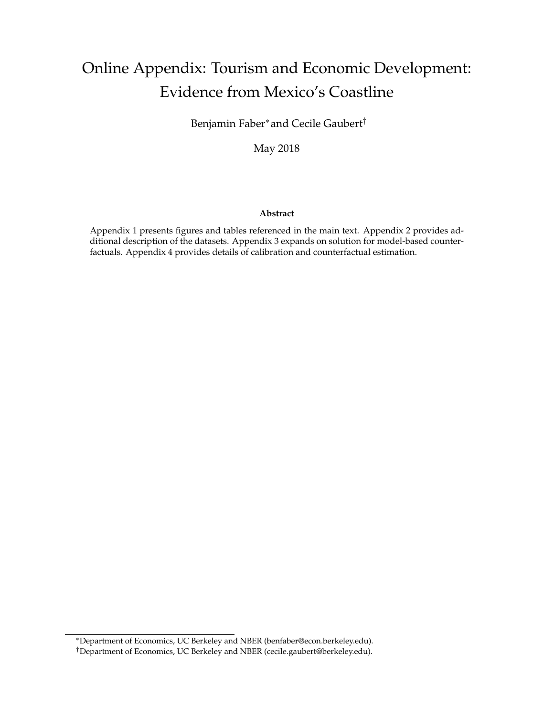# <span id="page-0-0"></span>Online Appendix: Tourism and Economic Development: Evidence from Mexico's Coastline

Benjamin Faber<sup>∗</sup> and Cecile Gaubert†

May 2018

#### **Abstract**

Appendix 1 presents figures and tables referenced in the main text. Appendix 2 provides additional description of the datasets. Appendix 3 expands on solution for model-based counterfactuals. Appendix 4 provides details of calibration and counterfactual estimation.

<sup>∗</sup>Department of Economics, UC Berkeley and NBER (benfaber@econ.berkeley.edu).

<sup>†</sup>Department of Economics, UC Berkeley and NBER (cecile.gaubert@berkeley.edu).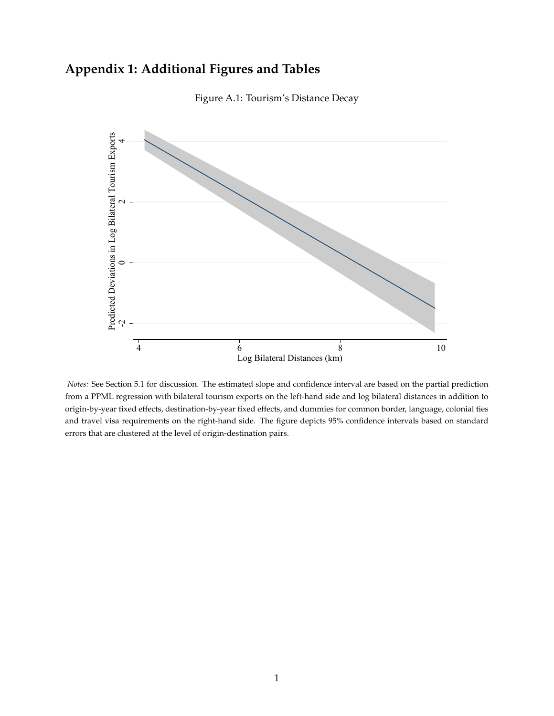## **Appendix 1: Additional Figures and Tables**



Figure A.1: Tourism's Distance Decay

*Notes:* See Section 5.1 for discussion. The estimated slope and confidence interval are based on the partial prediction from a PPML regression with bilateral tourism exports on the left-hand side and log bilateral distances in addition to origin-by-year fixed effects, destination-by-year fixed effects, and dummies for common border, language, colonial ties and travel visa requirements on the right-hand side. The figure depicts 95% confidence intervals based on standard errors that are clustered at the level of origin-destination pairs.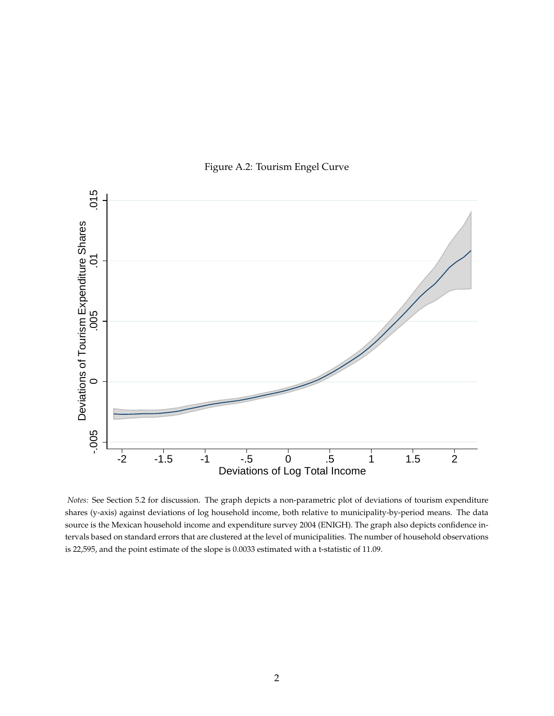

Figure A.2: Tourism Engel Curve

*Notes:* See Section 5.2 for discussion. The graph depicts a non-parametric plot of deviations of tourism expenditure shares (y-axis) against deviations of log household income, both relative to municipality-by-period means. The data source is the Mexican household income and expenditure survey 2004 (ENIGH). The graph also depicts confidence intervals based on standard errors that are clustered at the level of municipalities. The number of household observations is 22,595, and the point estimate of the slope is 0.0033 estimated with a t-statistic of 11.09.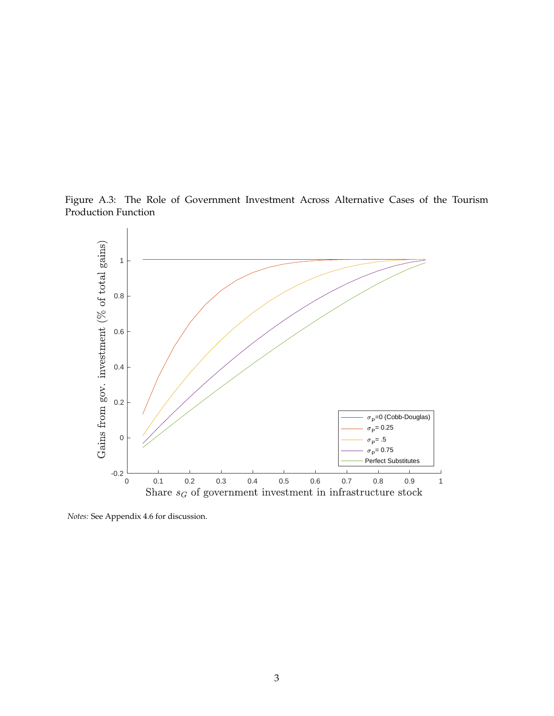<span id="page-3-0"></span>Figure A.3: The Role of Government Investment Across Alternative Cases of the Tourism Production Function



*Notes:* See Appendix 4.6 for discussion.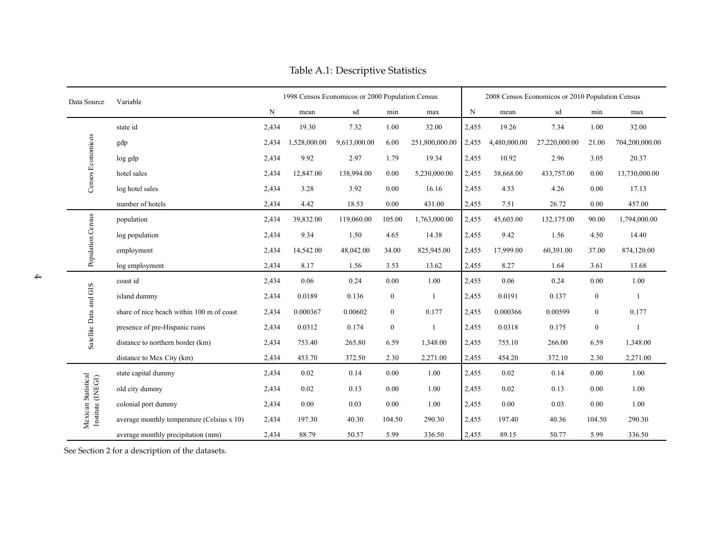| Data Source                        | Variable                                   |       | 1998 Censos Economicos or 2000 Population Census |              |                  |                |       |              | 2008 Censos Economicos or 2010 Population Census |                  |                |
|------------------------------------|--------------------------------------------|-------|--------------------------------------------------|--------------|------------------|----------------|-------|--------------|--------------------------------------------------|------------------|----------------|
|                                    |                                            | N     | mean                                             | sd           | min              | max            | N     | mean         | sd                                               | min              | max            |
|                                    | state id                                   | 2,434 | 19.30                                            | 7.32         | 1.00             | 32.00          | 2,455 | 19.26        | 7.34                                             | 1.00             | 32.00          |
|                                    | gdp                                        | 2,434 | 1,528,000.00                                     | 9,613,000.00 | 6.00             | 251,800,000.00 | 2,455 | 4,480,000.00 | 27,220,000.00                                    | 21.00            | 704,200,000.00 |
| Censos Economicos                  | log gdp                                    | 2,434 | 9.92                                             | 2.97         | 1.79             | 19.34          | 2,455 | 10.92        | 2.96                                             | 3.05             | 20.37          |
|                                    | hotel sales                                | 2,434 | 12,847.00                                        | 138,994.00   | 0.00             | 5,230,000.00   | 2,455 | 38,668.00    | 433,757.00                                       | 0.00             | 13,730,000.00  |
|                                    | log hotel sales                            | 2,434 | 3.28                                             | 3.92         | 0.00             | 16.16          | 2,455 | 4.53         | 4.26                                             | 0.00             | 17.13          |
|                                    | number of hotels                           | 2,434 | 4.42                                             | 18.53        | 0.00             | 431.00         | 2,455 | 7.51         | 26.72                                            | 0.00             | 457.00         |
|                                    | population                                 | 2,434 | 39,832.00                                        | 119,060.00   | 105.00           | 1,763,000.00   | 2,455 | 45,603.00    | 132,175.00                                       | 90.00            | 1,794,000.00   |
|                                    | log population                             | 2,434 | 9.34                                             | 1.50         | 4.65             | 14.38          | 2,455 | 9.42         | 1.56                                             | 4.50             | 14.40          |
| Population Census                  | employment                                 | 2,434 | 14,542.00                                        | 48,042.00    | 34.00            | 825,945.00     | 2,455 | 17,999.00    | 60,391.00                                        | 37.00            | 874,120.00     |
|                                    | log employment                             | 2,434 | 8.17                                             | 1.56         | 3.53             | 13.62          | 2,455 | 8.27         | 1.64                                             | 3.61             | 13.68          |
|                                    | coast id                                   | 2,434 | 0.06                                             | 0.24         | 0.00             | 1.00           | 2,455 | 0.06         | 0.24                                             | 0.00             | 1.00           |
| Satellite Data and GIS             | island dummy                               | 2,434 | 0.0189                                           | 0.136        | $\boldsymbol{0}$ | $\overline{1}$ | 2,455 | 0.0191       | 0.137                                            | $\boldsymbol{0}$ | $\mathbf{1}$   |
|                                    | share of nice beach within 100 m of coast  | 2,434 | 0.000367                                         | 0.00602      | $\bf{0}$         | 0.177          | 2,455 | 0.000366     | 0.00599                                          | $\mathbf{0}$     | 0.177          |
|                                    | presence of pre-Hispanic ruins             | 2,434 | 0.0312                                           | 0.174        | $\boldsymbol{0}$ | $\blacksquare$ | 2,455 | 0.0318       | 0.175                                            | $\boldsymbol{0}$ |                |
|                                    | distance to northern border (km)           | 2,434 | 753.40                                           | 265.80       | 6.59             | 1,348.00       | 2,455 | 755.10       | 266.00                                           | 6.59             | 1,348.00       |
|                                    | distance to Mex City (km)                  | 2,434 | 453.70                                           | 372.50       | 2.30             | 2,271.00       | 2,455 | 454.20       | 372.10                                           | 2.30             | 2,271.00       |
|                                    | state capital dummy                        | 2,434 | 0.02                                             | 0.14         | 0.00             | 1.00           | 2,455 | $0.02\,$     | 0.14                                             | 0.00             | 1.00           |
| (INEGI)                            | old city dummy                             | 2,434 | 0.02                                             | 0.13         | 0.00             | 1.00           | 2,455 | 0.02         | 0.13                                             | 0.00             | 1.00           |
|                                    | colonial port dummy                        | 2,434 | 0.00                                             | 0.03         | 0.00             | 1.00           | 2,455 | 0.00         | 0.03                                             | 0.00             | 1.00           |
| Mexican Statistical<br>Institute ( | average monthly temperature (Celsius x 10) | 2,434 | 197.30                                           | 40.30        | 104.50           | 290.30         | 2,455 | 197.40       | 40.36                                            | 104.50           | 290.30         |
|                                    | average monthly precipitation (mm)         | 2,434 | 88.79                                            | 50.57        | 5.99             | 336.50         | 2,455 | 89.15        | 50.77                                            | 5.99             | 336.50         |

Table A.1: Descriptive Statistics

See Section <sup>2</sup> for <sup>a</sup> description of the datasets.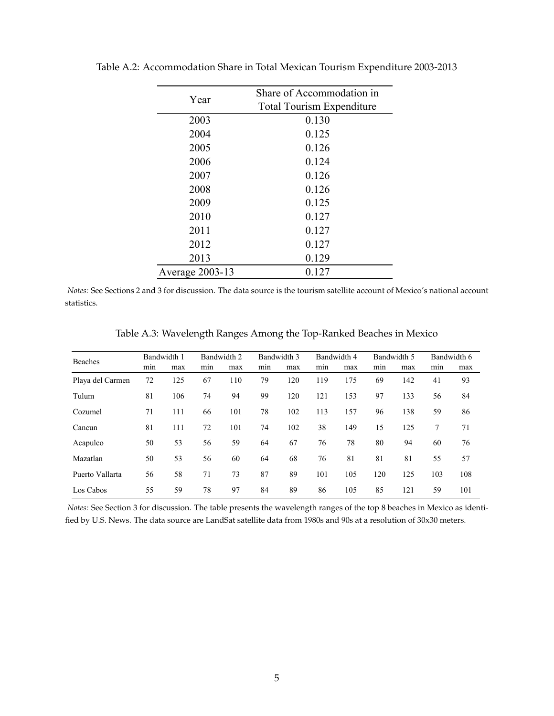| Year            | Share of Accommodation in        |
|-----------------|----------------------------------|
|                 | <b>Total Tourism Expenditure</b> |
| 2003            | 0.130                            |
| 2004            | 0.125                            |
| 2005            | 0.126                            |
| 2006            | 0.124                            |
| 2007            | 0.126                            |
| 2008            | 0.126                            |
| 2009            | 0.125                            |
| 2010            | 0.127                            |
| 2011            | 0.127                            |
| 2012            | 0.127                            |
| 2013            | 0.129                            |
| Average 2003-13 | 0.127                            |

<span id="page-5-0"></span>Table A.2: Accommodation Share in Total Mexican Tourism Expenditure 2003-2013

*Notes:* See Sections 2 and 3 for discussion. The data source is the tourism satellite account of Mexico's national account statistics.

| <b>Beaches</b>   |     | Bandwidth 1 |     | Bandwidth 2 |     | Bandwidth 3 |     | Bandwidth 4 |     | Bandwidth 5 |     | Bandwidth 6 |
|------------------|-----|-------------|-----|-------------|-----|-------------|-----|-------------|-----|-------------|-----|-------------|
|                  | min | max         | mın | max         | mın | max         | min | max         | mın | max         | min | max         |
| Playa del Carmen | 72  | 125         | 67  | 110         | 79  | 120         | 119 | 175         | 69  | 142         | 41  | 93          |
| Tulum            | 81  | 106         | 74  | 94          | 99  | 120         | 121 | 153         | 97  | 133         | 56  | 84          |
| Cozumel          | 71  | 111         | 66  | 101         | 78  | 102         | 113 | 157         | 96  | 138         | 59  | 86          |
| Cancun           | 81  | 111         | 72  | 101         | 74  | 102         | 38  | 149         | 15  | 125         | 7   | 71          |
| Acapulco         | 50  | 53          | 56  | 59          | 64  | 67          | 76  | 78          | 80  | 94          | 60  | 76          |
| Mazatlan         | 50  | 53          | 56  | 60          | 64  | 68          | 76  | 81          | 81  | 81          | 55  | 57          |
| Puerto Vallarta  | 56  | 58          | 71  | 73          | 87  | 89          | 101 | 105         | 120 | 125         | 103 | 108         |
| Los Cabos        | 55  | 59          | 78  | 97          | 84  | 89          | 86  | 105         | 85  | 121         | 59  | 101         |

Table A.3: Wavelength Ranges Among the Top-Ranked Beaches in Mexico

*Notes:* See Section 3 for discussion. The table presents the wavelength ranges of the top 8 beaches in Mexico as identified by U.S. News. The data source are LandSat satellite data from 1980s and 90s at a resolution of 30x30 meters.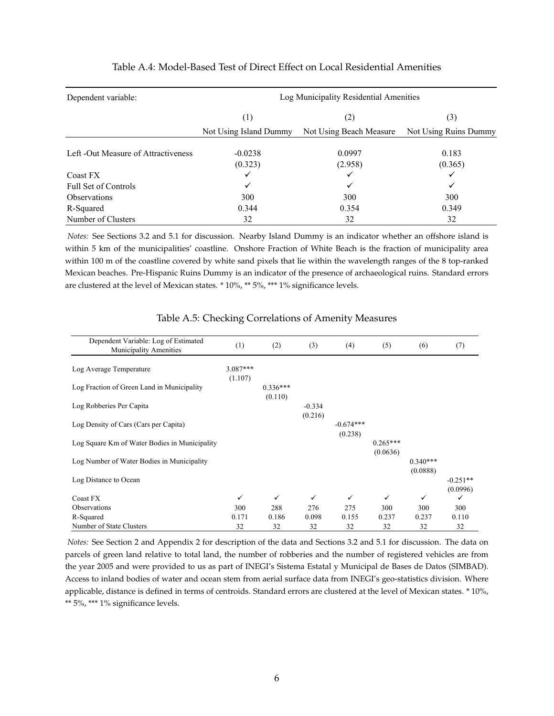| Dependent variable:                 | Log Municipality Residential Amenities |                         |                       |  |  |  |  |
|-------------------------------------|----------------------------------------|-------------------------|-----------------------|--|--|--|--|
|                                     | (1)                                    | (2)                     | (3)                   |  |  |  |  |
|                                     | Not Using Island Dummy                 | Not Using Beach Measure | Not Using Ruins Dummy |  |  |  |  |
| Left -Out Measure of Attractiveness | $-0.0238$                              | 0.0997                  | 0.183                 |  |  |  |  |
|                                     | (0.323)                                | (2.958)                 | (0.365)               |  |  |  |  |
| Coast FX                            |                                        |                         |                       |  |  |  |  |
| Full Set of Controls                | ✓                                      | ✓                       | ✓                     |  |  |  |  |
| <b>Observations</b>                 | 300                                    | 300                     | 300                   |  |  |  |  |
| R-Squared                           | 0.344                                  | 0.354                   | 0.349                 |  |  |  |  |
| Number of Clusters                  | 32                                     | 32                      | 32                    |  |  |  |  |

#### Table A.4: Model-Based Test of Direct Effect on Local Residential Amenities

*Notes:* See Sections 3.2 and 5.1 for discussion. Nearby Island Dummy is an indicator whether an offshore island is within 5 km of the municipalities' coastline. Onshore Fraction of White Beach is the fraction of municipality area within 100 m of the coastline covered by white sand pixels that lie within the wavelength ranges of the 8 top-ranked Mexican beaches. Pre-Hispanic Ruins Dummy is an indicator of the presence of archaeological ruins. Standard errors are clustered at the level of Mexican states. \* 10%, \*\* 5%, \*\*\* 1% significance levels.

| Dependent Variable: Log of Estimated<br>Municipality Amenities | (1)        | (2)        | (3)      | (4)         | (5)        | (6)        | (7)        |
|----------------------------------------------------------------|------------|------------|----------|-------------|------------|------------|------------|
| Log Average Temperature                                        | $3.087***$ |            |          |             |            |            |            |
|                                                                | (1.107)    |            |          |             |            |            |            |
| Log Fraction of Green Land in Municipality                     |            | $0.336***$ |          |             |            |            |            |
|                                                                |            | (0.110)    |          |             |            |            |            |
| Log Robberies Per Capita                                       |            |            | $-0.334$ |             |            |            |            |
|                                                                |            |            | (0.216)  |             |            |            |            |
| Log Density of Cars (Cars per Capita)                          |            |            |          | $-0.674***$ |            |            |            |
|                                                                |            |            |          | (0.238)     |            |            |            |
| Log Square Km of Water Bodies in Municipality                  |            |            |          |             | $0.265***$ |            |            |
| Log Number of Water Bodies in Municipality                     |            |            |          |             | (0.0636)   | $0.340***$ |            |
|                                                                |            |            |          |             |            | (0.0888)   |            |
| Log Distance to Ocean                                          |            |            |          |             |            |            | $-0.251**$ |
|                                                                |            |            |          |             |            |            | (0.0996)   |
| Coast FX                                                       | ✓          | ✓          | ✓        | ✓           | ✓          | ✓          | ✓          |
| Observations                                                   | 300        | 288        | 276      | 275         | 300        | 300        | 300        |
| R-Squared                                                      | 0.171      | 0.186      | 0.098    | 0.155       | 0.237      | 0.237      | 0.110      |
| Number of State Clusters                                       | 32         | 32         | 32       | 32          | 32         | 32         | 32         |

#### Table A.5: Checking Correlations of Amenity Measures

*Notes:* See Section 2 and Appendix 2 for description of the data and Sections 3.2 and 5.1 for discussion. The data on parcels of green land relative to total land, the number of robberies and the number of registered vehicles are from the year 2005 and were provided to us as part of INEGI's Sistema Estatal y Municipal de Bases de Datos (SIMBAD). Access to inland bodies of water and ocean stem from aerial surface data from INEGI's geo-statistics division. Where applicable, distance is defined in terms of centroids. Standard errors are clustered at the level of Mexican states. \* 10%, \*\* 5%, \*\*\* 1% significance levels.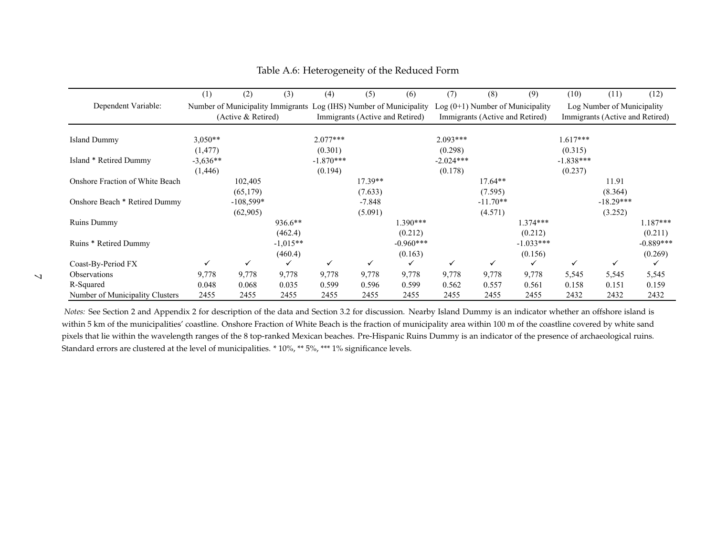|                                 | (1)        | (2)                | (3)        | (4)                                                                | (5)       | (6)                             | (7)         | (8)                             | (9)                                | (10)        | (11)                            | (12)        |
|---------------------------------|------------|--------------------|------------|--------------------------------------------------------------------|-----------|---------------------------------|-------------|---------------------------------|------------------------------------|-------------|---------------------------------|-------------|
| Dependent Variable:             |            |                    |            | Number of Municipality Immigrants Log (IHS) Number of Municipality |           |                                 |             |                                 | Log $(0+1)$ Number of Municipality |             | Log Number of Municipality      |             |
|                                 |            | (Active & Retired) |            |                                                                    |           | Immigrants (Active and Retired) |             | Immigrants (Active and Retired) |                                    |             | Immigrants (Active and Retired) |             |
|                                 |            |                    |            |                                                                    |           |                                 |             |                                 |                                    |             |                                 |             |
| Island Dummy                    | $3,050**$  |                    |            | $2.077***$                                                         |           |                                 | $2.093***$  |                                 |                                    | $1.617***$  |                                 |             |
|                                 | (1, 477)   |                    |            | (0.301)                                                            |           |                                 | (0.298)     |                                 |                                    | (0.315)     |                                 |             |
| Island * Retired Dummy          | $-3,636**$ |                    |            | $-1.870***$                                                        |           |                                 | $-2.024***$ |                                 |                                    | $-1.838***$ |                                 |             |
|                                 | (1,446)    |                    |            | (0.194)                                                            |           |                                 | (0.178)     |                                 |                                    | (0.237)     |                                 |             |
| Onshore Fraction of White Beach |            | 102,405            |            |                                                                    | $17.39**$ |                                 |             | $17.64**$                       |                                    |             | 11.91                           |             |
|                                 |            | (65,179)           |            |                                                                    | (7.633)   |                                 |             | (7.595)                         |                                    |             | (8.364)                         |             |
| Onshore Beach * Retired Dummy   |            | $-108,599*$        |            |                                                                    | $-7.848$  |                                 |             | $-11.70**$                      |                                    |             | $-18.29***$                     |             |
|                                 |            | (62,905)           |            |                                                                    | (5.091)   |                                 |             | (4.571)                         |                                    |             | (3.252)                         |             |
| Ruins Dummy                     |            |                    | 936.6**    |                                                                    |           | $1.390***$                      |             |                                 | $1.374***$                         |             |                                 | $1.187***$  |
|                                 |            |                    | (462.4)    |                                                                    |           | (0.212)                         |             |                                 | (0.212)                            |             |                                 | (0.211)     |
| Ruins * Retired Dummy           |            |                    | $-1,015**$ |                                                                    |           | $-0.960***$                     |             |                                 | $-1.033***$                        |             |                                 | $-0.889***$ |
|                                 |            |                    | (460.4)    |                                                                    |           | (0.163)                         |             |                                 | (0.156)                            |             |                                 | (0.269)     |
| Coast-By-Period FX              | ✓          | ✓                  | ✓          | ✓                                                                  | ✓         | ✓                               | ✓           | ✓                               | ✓                                  | ✓           | $\checkmark$                    | ✓           |
| Observations                    | 9,778      | 9,778              | 9,778      | 9,778                                                              | 9,778     | 9,778                           | 9,778       | 9,778                           | 9,778                              | 5,545       | 5,545                           | 5,545       |
| R-Squared                       | 0.048      | 0.068              | 0.035      | 0.599                                                              | 0.596     | 0.599                           | 0.562       | 0.557                           | 0.561                              | 0.158       | 0.151                           | 0.159       |
| Number of Municipality Clusters | 2455       | 2455               | 2455       | 2455                                                               | 2455      | 2455                            | 2455        | 2455                            | 2455                               | 2432        | 2432                            | 2432        |

Table A.6: Heterogeneity of the Reduced Form

*Notes:* See Section <sup>2</sup> and Appendix <sup>2</sup> for description of the data and Section 3.2 for discussion. Nearby Island Dummy is an indicator whether an offshore island iswithin 5 km of the municipalities' coastline. Onshore Fraction of White Beach is the fraction of municipality area within 100 <sup>m</sup> of the coastline covered by white sand pixels that lie within the wavelength ranges of the 8 top-ranked Mexican beaches. Pre-Hispanic Ruins Dummy is an indicator of the presence of archaeological ruins. Standard errors are clustered at the level of municipalities. \* 10%, \*\* 5%, \*\*\* 1% significance levels.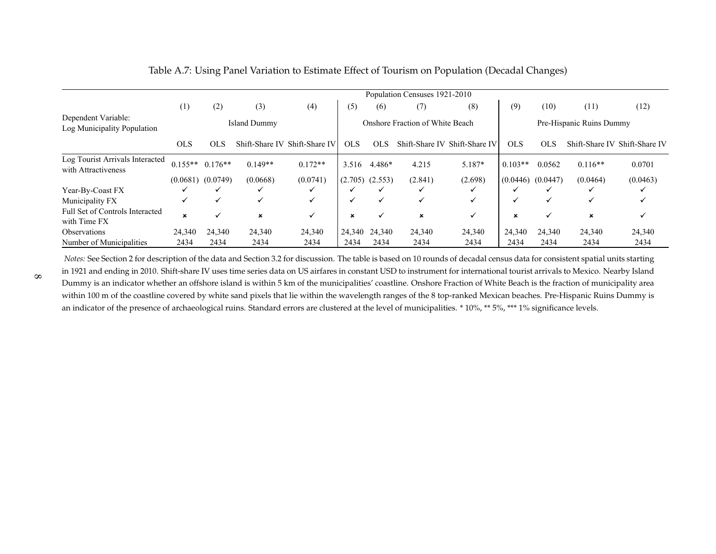|                                                        |            |                       |                     |                               |             |                     | Population Censuses 1921-2010   |                               |                          |              |           |                               |
|--------------------------------------------------------|------------|-----------------------|---------------------|-------------------------------|-------------|---------------------|---------------------------------|-------------------------------|--------------------------|--------------|-----------|-------------------------------|
|                                                        | (1)        | (2)                   | (3)                 | (4)                           | (5)         | (6)                 | (7)                             | (8)                           | (9)                      | (10)         | (11)      | (12)                          |
| Dependent Variable:<br>Log Municipality Population     |            |                       | <b>Island Dummy</b> |                               |             |                     | Onshore Fraction of White Beach |                               | Pre-Hispanic Ruins Dummy |              |           |                               |
|                                                        | <b>OLS</b> | <b>OLS</b>            |                     | Shift-Share IV Shift-Share IV | <b>OLS</b>  | <b>OLS</b>          |                                 | Shift-Share IV Shift-Share IV | <b>OLS</b>               | <b>OLS</b>   |           | Shift-Share IV Shift-Share IV |
| Log Tourist Arrivals Interacted<br>with Attractiveness |            | $0.155**$ $0.176**$   | $0.149**$           | $0.172**$                     | 3.516       | 4.486*              | 4.215                           | $5.187*$                      | $0.103**$                | 0.0562       | $0.116**$ | 0.0701                        |
|                                                        |            | $(0.0681)$ $(0.0749)$ | (0.0668)            | (0.0741)                      |             | $(2.705)$ $(2.553)$ | (2.841)                         | (2.698)                       | (0.0446)                 | (0.0447)     | (0.0464)  | (0.0463)                      |
| Year-By-Coast FX                                       |            |                       | ✓                   |                               |             |                     | ✓                               |                               |                          |              |           |                               |
| Municipality FX                                        |            | ✓                     | $\checkmark$        | ✓                             |             | $\checkmark$        | ✓                               | ✓                             |                          | $\checkmark$ | ✓         |                               |
| Full Set of Controls Interacted<br>with Time FX        | ×          |                       | $\pmb{\times}$      | $\checkmark$                  | $\mathbf x$ | $\checkmark$        | $\boldsymbol{\mathsf{x}}$       | ✓                             | ×                        | ✓            | ×         | v                             |
| Observations                                           | 24,340     | 24,340                | 24,340              | 24,340                        | 24,340      | 24,340              | 24,340                          | 24,340                        | 24,340                   | 24,340       | 24,340    | 24,340                        |
| Number of Municipalities                               | 2434       | 2434                  | 2434                | 2434                          | 2434        | 2434                | 2434                            | 2434                          | 2434                     | 2434         | 2434      | 2434                          |

| Table A.7: Using Panel Variation to Estimate Effect of Tourism on Population (Decadal Changes) |  |  |  |
|------------------------------------------------------------------------------------------------|--|--|--|
|                                                                                                |  |  |  |

*Notes:* See Section <sup>2</sup> for description of the data and Section 3.2 for discussion. The table is based on 10 rounds of decadal census data for consistent spatial units starting in 1921 and ending in 2010. Shift-share IV uses time series data on US airfares in constant USD to instrument for international tourist arrivals to Mexico. Nearby Island Dummy is an indicator whether an offshore island is within 5 km of the municipalities' coastline. Onshore Fraction of White Beach is the fraction of municipality areawithin 100 m of the coastline covered by white sand pixels that lie within the wavelength ranges of the 8 top-ranked Mexican beaches. Pre-Hispanic Ruins Dummy is an indicator of the presence of archaeological ruins. Standard errors are clustered at the level of municipalities. \* 10%, \*\* 5%, \*\*\* 1% significance levels.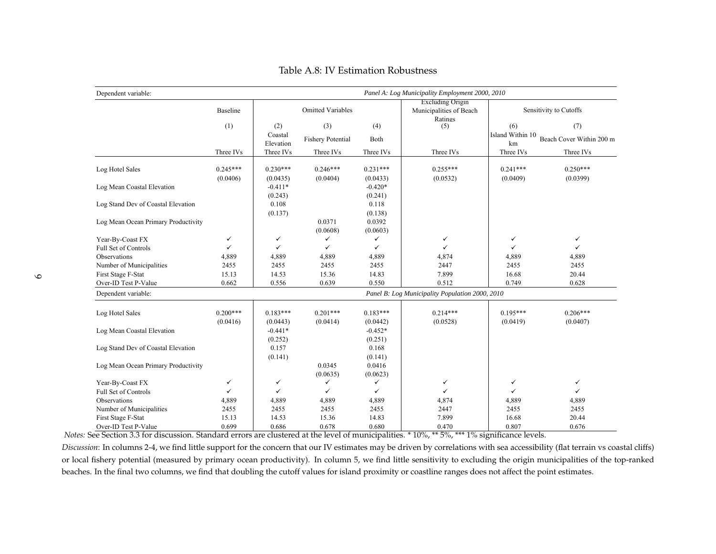| Dependent variable:                 |                        |                        |                          | Panel A: Log Municipality Employment 2000, 2010 |                                                               |                        |                          |  |  |  |
|-------------------------------------|------------------------|------------------------|--------------------------|-------------------------------------------------|---------------------------------------------------------------|------------------------|--------------------------|--|--|--|
|                                     | Baseline               |                        | <b>Omitted Variables</b> |                                                 | <b>Excluding Origin</b><br>Municipalities of Beach<br>Ratings |                        | Sensitivity to Cutoffs   |  |  |  |
|                                     | (1)                    | (2)                    | (3)                      | (4)                                             | (5)                                                           | (6)                    | (7)                      |  |  |  |
|                                     |                        | Coastal<br>Elevation   | <b>Fishery Potential</b> | Both                                            |                                                               | Island Within 10<br>km | Beach Cover Within 200 m |  |  |  |
|                                     | Three IVs              | Three IVs              | Three IVs                | Three IVs                                       | Three IVs                                                     | Three IVs              | Three IVs                |  |  |  |
| Log Hotel Sales                     | $0.245***$<br>(0.0406) | $0.230***$<br>(0.0435) | $0.246***$<br>(0.0404)   | $0.231***$<br>(0.0433)                          | $0.255***$<br>(0.0532)                                        | $0.241***$<br>(0.0409) | $0.250***$<br>(0.0399)   |  |  |  |
| Log Mean Coastal Elevation          |                        | $-0.411*$<br>(0.243)   |                          | $-0.420*$<br>(0.241)                            |                                                               |                        |                          |  |  |  |
| Log Stand Dev of Coastal Elevation  |                        | 0.108<br>(0.137)       |                          | 0.118<br>(0.138)                                |                                                               |                        |                          |  |  |  |
| Log Mean Ocean Primary Productivity |                        |                        | 0.0371<br>(0.0608)       | 0.0392<br>(0.0603)                              |                                                               |                        |                          |  |  |  |
| Year-By-Coast FX                    | $\checkmark$           | $\checkmark$           | ✓                        | ✓                                               | $\checkmark$                                                  | ✓                      | ✓                        |  |  |  |
| Full Set of Controls                | $\checkmark$           | $\checkmark$           | $\checkmark$             | $\checkmark$                                    | $\checkmark$                                                  | ✓                      | $\checkmark$             |  |  |  |
| Observations                        | 4,889                  | 4,889                  | 4,889                    | 4,889                                           | 4,874                                                         | 4,889                  | 4,889                    |  |  |  |
| Number of Municipalities            | 2455                   | 2455                   | 2455                     | 2455                                            | 2447                                                          | 2455                   | 2455                     |  |  |  |
| First Stage F-Stat                  | 15.13                  | 14.53                  | 15.36                    | 14.83                                           | 7.899                                                         | 16.68                  | 20.44                    |  |  |  |
| Over-ID Test P-Value                | 0.662                  | 0.556                  | 0.639                    | 0.550                                           | 0.512                                                         | 0.749                  | 0.628                    |  |  |  |
| Dependent variable:                 |                        |                        |                          |                                                 | Panel B: Log Municipality Population 2000, 2010               |                        |                          |  |  |  |
| Log Hotel Sales                     | $0.200***$<br>(0.0416) | $0.183***$<br>(0.0443) | $0.201***$<br>(0.0414)   | $0.183***$<br>(0.0442)                          | $0.214***$<br>(0.0528)                                        | $0.195***$<br>(0.0419) | $0.206***$<br>(0.0407)   |  |  |  |
| Log Mean Coastal Elevation          |                        | $-0.441*$<br>(0.252)   |                          | $-0.452*$<br>(0.251)                            |                                                               |                        |                          |  |  |  |
| Log Stand Dev of Coastal Elevation  |                        | 0.157<br>(0.141)       |                          | 0.168<br>(0.141)                                |                                                               |                        |                          |  |  |  |
| Log Mean Ocean Primary Productivity |                        |                        | 0.0345<br>(0.0635)       | 0.0416<br>(0.0623)                              |                                                               |                        |                          |  |  |  |
| Year-By-Coast FX                    | $\checkmark$           | $\checkmark$           | $\checkmark$             | ✓                                               | $\checkmark$                                                  | ✓                      | ✓                        |  |  |  |
| Full Set of Controls                | $\checkmark$           | $\checkmark$           | ✓                        | ✓                                               | $\checkmark$                                                  | ✓                      | ✓                        |  |  |  |
| Observations                        | 4,889                  | 4,889                  | 4,889                    | 4,889                                           | 4,874                                                         | 4,889                  | 4,889                    |  |  |  |
| Number of Municipalities            | 2455                   | 2455                   | 2455                     | 2455                                            | 2447                                                          | 2455                   | 2455                     |  |  |  |
| First Stage F-Stat                  | 15.13                  | 14.53                  | 15.36                    | 14.83                                           | 7.899                                                         | 16.68                  | 20.44                    |  |  |  |
| Over-ID Test P-Value                | 0.699                  | 0.686                  | 0.678                    | 0.680                                           | 0.470                                                         | 0.807                  | 0.676                    |  |  |  |

Table A.8: IV Estimation Robustness

*Notes:* See Section 3.3 for discussion. Standard errors are clustered at the level of municipalities. \* 10%, \*\* 5%, \*\*\* 1% significance levels.

*Discussion*: In columns 2-4, we find little suppor<sup>t</sup> for the concern that our IV estimates may be driven by correlations with sea accessibility (flat terrain vs coastal cliffs)or local fishery potential (measured by primary ocean productivity). In column 5, we find little sensitivity to excluding the origin municipalities of the top-rankedbeaches. In the final two columns, we find that doubling the cutoff values for island proximity or coastline ranges does not affect the point estimates.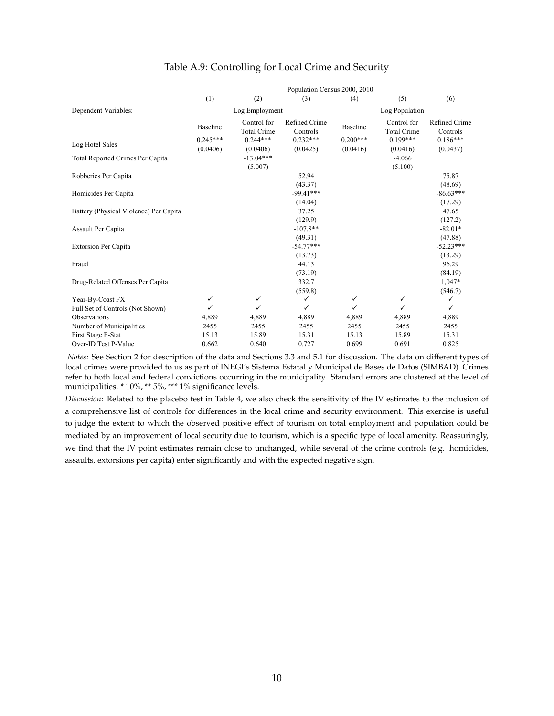|                                        |                        |                                   | Population Census 2000, 2010     |                        |                                   |                                 |
|----------------------------------------|------------------------|-----------------------------------|----------------------------------|------------------------|-----------------------------------|---------------------------------|
|                                        | (1)                    | (2)                               | (3)                              | (4)                    | (5)                               | (6)                             |
| Dependent Variables:                   |                        | Log Employment                    |                                  |                        | Log Population                    |                                 |
|                                        | <b>Baseline</b>        | Control for<br><b>Total Crime</b> | Refined Crime<br>Controls        | Baseline               | Control for<br><b>Total Crime</b> | Refined Crime<br>Controls       |
| Log Hotel Sales                        | $0.245***$<br>(0.0406) | $0.244***$<br>(0.0406)            | $0.232***$<br>(0.0425)           | $0.200***$<br>(0.0416) | $0.199***$<br>(0.0416)            | $0.186***$<br>(0.0437)          |
| Total Reported Crimes Per Capita       |                        | $-13.04***$<br>(5.007)            |                                  |                        | $-4.066$<br>(5.100)               |                                 |
| Robberies Per Capita                   |                        |                                   | 52.94<br>(43.37)                 |                        |                                   | 75.87<br>(48.69)                |
| Homicides Per Capita                   |                        |                                   | $-99.41***$<br>(14.04)           |                        |                                   | $-86.63***$<br>(17.29)          |
| Battery (Physical Violence) Per Capita |                        |                                   | 37.25                            |                        |                                   | 47.65                           |
| Assault Per Capita                     |                        |                                   | (129.9)<br>$-107.8**$<br>(49.31) |                        |                                   | (127.2)<br>$-82.01*$<br>(47.88) |
| <b>Extorsion Per Capita</b>            |                        |                                   | $-54.77***$<br>(13.73)           |                        |                                   | $-52.23***$<br>(13.29)          |
| Fraud                                  |                        |                                   | 44.13<br>(73.19)                 |                        |                                   | 96.29<br>(84.19)                |
| Drug-Related Offenses Per Capita       |                        |                                   | 332.7<br>(559.8)                 |                        |                                   | 1,047*<br>(546.7)               |
| Year-By-Coast FX                       | $\checkmark$           | $\checkmark$                      | ✓                                | ✓                      | $\checkmark$                      | ✓                               |
| Full Set of Controls (Not Shown)       | ✓                      | $\checkmark$                      | ✓                                | $\checkmark$           | ✓                                 | ✓                               |
| Observations                           | 4,889                  | 4,889                             | 4,889                            | 4,889                  | 4,889                             | 4,889                           |
| Number of Municipalities               | 2455                   | 2455                              | 2455                             | 2455                   | 2455                              | 2455                            |
| First Stage F-Stat                     | 15.13                  | 15.89                             | 15.31                            | 15.13                  | 15.89                             | 15.31                           |
| Over-ID Test P-Value                   | 0.662                  | 0.640                             | 0.727                            | 0.699                  | 0.691                             | 0.825                           |

#### Table A.9: Controlling for Local Crime and Security

*Notes:* See Section 2 for description of the data and Sections 3.3 and 5.1 for discussion. The data on different types of local crimes were provided to us as part of INEGI's Sistema Estatal y Municipal de Bases de Datos (SIMBAD). Crimes refer to both local and federal convictions occurring in the municipality. Standard errors are clustered at the level of municipalities. \* 10%, \*\* 5%, \*\*\* 1% significance levels.

*Discussion*: Related to the placebo test in Table 4, we also check the sensitivity of the IV estimates to the inclusion of a comprehensive list of controls for differences in the local crime and security environment. This exercise is useful to judge the extent to which the observed positive effect of tourism on total employment and population could be mediated by an improvement of local security due to tourism, which is a specific type of local amenity. Reassuringly, we find that the IV point estimates remain close to unchanged, while several of the crime controls (e.g. homicides, assaults, extorsions per capita) enter significantly and with the expected negative sign.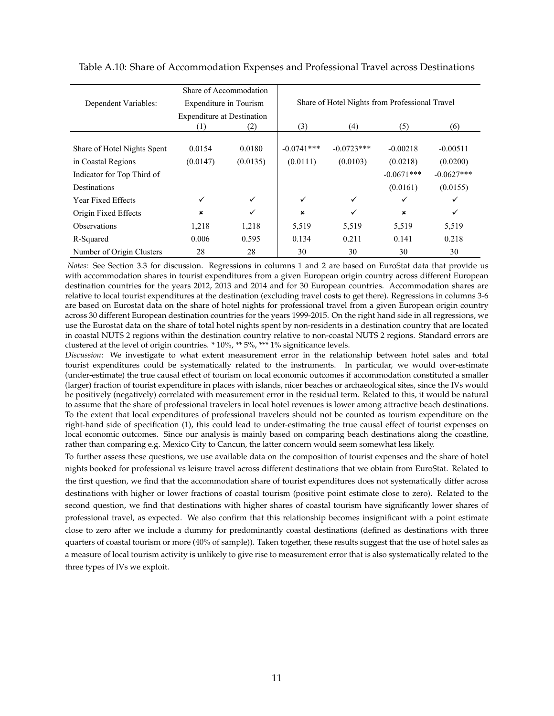|                             | Share of Accommodation            |              |              |                                                |                |              |
|-----------------------------|-----------------------------------|--------------|--------------|------------------------------------------------|----------------|--------------|
| Dependent Variables:        | Expenditure in Tourism            |              |              | Share of Hotel Nights from Professional Travel |                |              |
|                             | <b>Expenditure at Destination</b> |              |              |                                                |                |              |
|                             | (1)                               | (2)          | (3)          | (4)                                            | (5)            | (6)          |
|                             |                                   |              |              |                                                |                |              |
| Share of Hotel Nights Spent | 0.0154                            | 0.0180       | $-0.0741***$ | $-0.0723***$                                   | $-0.00218$     | $-0.00511$   |
| in Coastal Regions          | (0.0147)                          | (0.0135)     | (0.0111)     | (0.0103)                                       | (0.0218)       | (0.0200)     |
| Indicator for Top Third of  |                                   |              |              |                                                | $-0.0671***$   | $-0.0627***$ |
| Destinations                |                                   |              |              |                                                | (0.0161)       | (0.0155)     |
| Year Fixed Effects          |                                   | $\checkmark$ | ✓            | ✓                                              | ✓              | ✓            |
| Origin Fixed Effects        | ×                                 | ✓            | ×            | ✓                                              | $\pmb{\times}$ | ✓            |
| <b>Observations</b>         | 1,218                             | 1,218        | 5,519        | 5,519                                          | 5,519          | 5,519        |
| R-Squared                   | 0.006                             | 0.595        | 0.134        | 0.211                                          | 0.141          | 0.218        |
| Number of Origin Clusters   | 28                                | 28           | 30           | 30                                             | 30             | 30           |

<span id="page-11-0"></span>Table A.10: Share of Accommodation Expenses and Professional Travel across Destinations

*Notes:* See Section 3.3 for discussion. Regressions in columns 1 and 2 are based on EuroStat data that provide us with accommodation shares in tourist expenditures from a given European origin country across different European destination countries for the years 2012, 2013 and 2014 and for 30 European countries. Accommodation shares are relative to local tourist expenditures at the destination (excluding travel costs to get there). Regressions in columns 3-6 are based on Eurostat data on the share of hotel nights for professional travel from a given European origin country across 30 different European destination countries for the years 1999-2015. On the right hand side in all regressions, we use the Eurostat data on the share of total hotel nights spent by non-residents in a destination country that are located in coastal NUTS 2 regions within the destination country relative to non-coastal NUTS 2 regions. Standard errors are clustered at the level of origin countries. \* 10%, \*\* 5%, \*\*\* 1% significance levels.

*Discussion*: We investigate to what extent measurement error in the relationship between hotel sales and total tourist expenditures could be systematically related to the instruments. In particular, we would over-estimate (under-estimate) the true causal effect of tourism on local economic outcomes if accommodation constituted a smaller (larger) fraction of tourist expenditure in places with islands, nicer beaches or archaeological sites, since the IVs would be positively (negatively) correlated with measurement error in the residual term. Related to this, it would be natural to assume that the share of professional travelers in local hotel revenues is lower among attractive beach destinations. To the extent that local expenditures of professional travelers should not be counted as tourism expenditure on the right-hand side of specification (1), this could lead to under-estimating the true causal effect of tourist expenses on local economic outcomes. Since our analysis is mainly based on comparing beach destinations along the coastline, rather than comparing e.g. Mexico City to Cancun, the latter concern would seem somewhat less likely.

To further assess these questions, we use available data on the composition of tourist expenses and the share of hotel nights booked for professional vs leisure travel across different destinations that we obtain from EuroStat. Related to the first question, we find that the accommodation share of tourist expenditures does not systematically differ across destinations with higher or lower fractions of coastal tourism (positive point estimate close to zero). Related to the second question, we find that destinations with higher shares of coastal tourism have significantly lower shares of professional travel, as expected. We also confirm that this relationship becomes insignificant with a point estimate close to zero after we include a dummy for predominantly coastal destinations (defined as destinations with three quarters of coastal tourism or more (40% of sample)). Taken together, these results suggest that the use of hotel sales as a measure of local tourism activity is unlikely to give rise to measurement error that is also systematically related to the three types of IVs we exploit.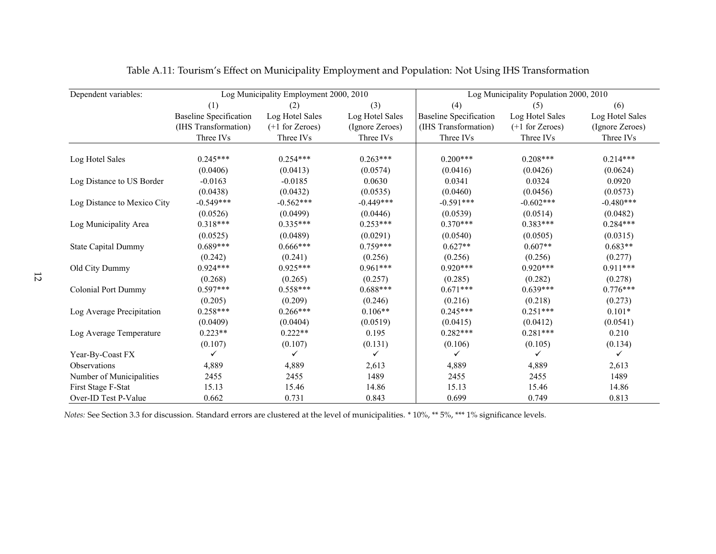| Dependent variables:        |                               | Log Municipality Employment 2000, 2010 |                 |                               | Log Municipality Population 2000, 2010 |                 |
|-----------------------------|-------------------------------|----------------------------------------|-----------------|-------------------------------|----------------------------------------|-----------------|
|                             | (1)                           | (2)                                    | (3)             | (4)                           | (5)                                    | (6)             |
|                             | <b>Baseline Specification</b> | Log Hotel Sales                        | Log Hotel Sales | <b>Baseline Specification</b> | Log Hotel Sales                        | Log Hotel Sales |
|                             | (IHS Transformation)          | $(+1)$ for Zeroes)                     | (Ignore Zeroes) | (IHS Transformation)          | $(+1)$ for Zeroes)                     | (Ignore Zeroes) |
|                             | Three IVs                     | Three IVs                              | Three IVs       | Three IVs                     | Three IVs                              | Three IVs       |
| Log Hotel Sales             | $0.245***$                    | $0.254***$                             | $0.263***$      | $0.200***$                    | $0.208***$                             | $0.214***$      |
|                             | (0.0406)                      | (0.0413)                               | (0.0574)        | (0.0416)                      | (0.0426)                               | (0.0624)        |
| Log Distance to US Border   | $-0.0163$                     | $-0.0185$                              | 0.0630          | 0.0341                        | 0.0324                                 | 0.0920          |
|                             | (0.0438)                      | (0.0432)                               | (0.0535)        | (0.0460)                      | (0.0456)                               | (0.0573)        |
| Log Distance to Mexico City | $-0.549***$                   | $-0.562***$                            | $-0.449***$     | $-0.591***$                   | $-0.602***$                            | $-0.480***$     |
|                             | (0.0526)                      | (0.0499)                               | (0.0446)        | (0.0539)                      | (0.0514)                               | (0.0482)        |
| Log Municipality Area       | $0.318***$                    | $0.335***$                             | $0.253***$      | $0.370***$                    | $0.383***$                             | $0.284***$      |
|                             | (0.0525)                      | (0.0489)                               | (0.0291)        | (0.0540)                      | (0.0505)                               | (0.0315)        |
| <b>State Capital Dummy</b>  | $0.689***$                    | $0.666***$                             | $0.759***$      | $0.627**$                     | $0.607**$                              | $0.683**$       |
|                             | (0.242)                       | (0.241)                                | (0.256)         | (0.256)                       | (0.256)                                | (0.277)         |
| Old City Dummy              | $0.924***$                    | $0.925***$                             | $0.961***$      | $0.920***$                    | $0.920***$                             | $0.911***$      |
|                             | (0.268)                       | (0.265)                                | (0.257)         | (0.285)                       | (0.282)                                | (0.278)         |
| <b>Colonial Port Dummy</b>  | $0.597***$                    | $0.558***$                             | $0.688***$      | $0.671***$                    | $0.639***$                             | $0.776***$      |
|                             | (0.205)                       | (0.209)                                | (0.246)         | (0.216)                       | (0.218)                                | (0.273)         |
| Log Average Precipitation   | $0.258***$                    | $0.266***$                             | $0.106**$       | $0.245***$                    | $0.251***$                             | $0.101*$        |
|                             | (0.0409)                      | (0.0404)                               | (0.0519)        | (0.0415)                      | (0.0412)                               | (0.0541)        |
| Log Average Temperature     | $0.223**$                     | $0.222**$                              | 0.195           | $0.282***$                    | $0.281***$                             | 0.210           |
|                             | (0.107)                       | (0.107)                                | (0.131)         | (0.106)                       | (0.105)                                | (0.134)         |
| Year-By-Coast FX            | ✓                             |                                        | ✓               | ✓                             |                                        | ✓               |
| Observations                | 4,889                         | 4,889                                  | 2,613           | 4,889                         | 4,889                                  | 2,613           |
| Number of Municipalities    | 2455                          | 2455                                   | 1489            | 2455                          | 2455                                   | 1489            |
| First Stage F-Stat          | 15.13                         | 15.46                                  | 14.86           | 15.13                         | 15.46                                  | 14.86           |
| Over-ID Test P-Value        | 0.662                         | 0.731                                  | 0.843           | 0.699                         | 0.749                                  | 0.813           |

Table A.11: Tourism's Effect on Municipality Employment and Population: Not Using IHS Transformation

*Notes:* See Section 3.3 for discussion. Standard errors are clustered at the level of municipalities. \* 10%, \*\* 5%, \*\*\* 1% significance levels.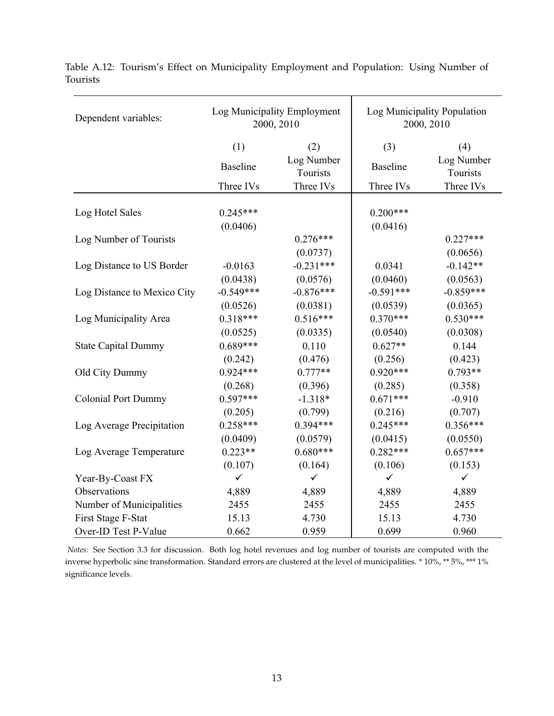| Dependent variables:        |                         | Log Municipality Employment<br>2000, 2010 |                         | Log Municipality Population<br>2000, 2010 |  |  |
|-----------------------------|-------------------------|-------------------------------------------|-------------------------|-------------------------------------------|--|--|
|                             | (1)                     | (2)                                       | (3)                     | (4)                                       |  |  |
|                             | <b>Baseline</b>         | Log Number<br>Tourists                    | <b>Baseline</b>         | Log Number<br>Tourists                    |  |  |
|                             | Three IVs               | Three IVs                                 | Three IVs               | Three IVs                                 |  |  |
| Log Hotel Sales             | $0.245***$<br>(0.0406)  |                                           | $0.200***$<br>(0.0416)  |                                           |  |  |
| Log Number of Tourists      |                         | $0.276***$<br>(0.0737)                    |                         | $0.227***$<br>(0.0656)                    |  |  |
| Log Distance to US Border   | $-0.0163$<br>(0.0438)   | $-0.231***$<br>(0.0576)                   | 0.0341<br>(0.0460)      | $-0.142**$<br>(0.0563)                    |  |  |
| Log Distance to Mexico City | $-0.549***$<br>(0.0526) | $-0.876***$<br>(0.0381)                   | $-0.591***$<br>(0.0539) | $-0.859***$<br>(0.0365)                   |  |  |
| Log Municipality Area       | $0.318***$<br>(0.0525)  | $0.516***$<br>(0.0335)                    | $0.370***$<br>(0.0540)  | $0.530***$<br>(0.0308)                    |  |  |
| <b>State Capital Dummy</b>  | $0.689***$<br>(0.242)   | 0.110<br>(0.476)                          | $0.627**$<br>(0.256)    | 0.144<br>(0.423)                          |  |  |
| Old City Dummy              | $0.924***$<br>(0.268)   | $0.777**$<br>(0.396)                      | $0.920***$<br>(0.285)   | $0.793**$<br>(0.358)                      |  |  |
| <b>Colonial Port Dummy</b>  | $0.597***$<br>(0.205)   | $-1.318*$<br>(0.799)                      | $0.671***$              | $-0.910$<br>(0.707)                       |  |  |
| Log Average Precipitation   | $0.258***$              | $0.394***$                                | (0.216)<br>$0.245***$   | $0.356***$                                |  |  |
| Log Average Temperature     | (0.0409)<br>$0.223**$   | (0.0579)<br>$0.680***$                    | (0.0415)<br>$0.282***$  | (0.0550)<br>$0.657***$                    |  |  |
| Year-By-Coast FX            | (0.107)<br>$\checkmark$ | (0.164)<br>$\checkmark$                   | (0.106)<br>$\checkmark$ | (0.153)<br>$\checkmark$                   |  |  |
| Observations                | 4,889                   | 4,889                                     | 4,889                   | 4,889                                     |  |  |
| Number of Municipalities    | 2455                    | 2455                                      | 2455                    | 2455                                      |  |  |
| First Stage F-Stat          | 15.13                   | 4.730                                     | 15.13                   | 4.730                                     |  |  |
| Over-ID Test P-Value        | 0.662                   | 0.959                                     | 0.699                   | 0.960                                     |  |  |

Table A.12: Tourism's Effect on Municipality Employment and Population: Using Number of Tourists

*Notes:* See Section 3.3 for discussion. Both log hotel revenues and log number of tourists are computed with the inverse hyperbolic sine transformation. Standard errors are clustered at the level of municipalities. \* 10%, \*\* 5%, \*\*\* 1% significance levels.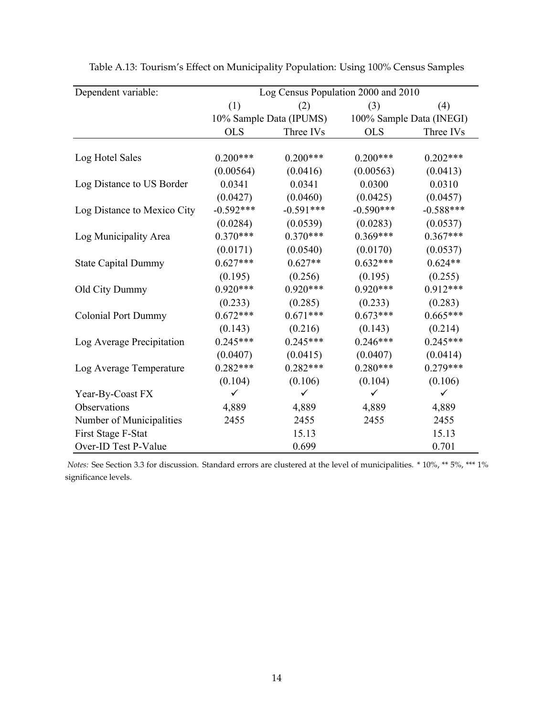| Dependent variable:<br>Log Census Population 2000 and 2010 |             |                         |             |                          |  |  |
|------------------------------------------------------------|-------------|-------------------------|-------------|--------------------------|--|--|
|                                                            | (1)         | (2)                     | (3)         | (4)                      |  |  |
|                                                            |             | 10% Sample Data (IPUMS) |             | 100% Sample Data (INEGI) |  |  |
|                                                            | <b>OLS</b>  | Three IVs               | <b>OLS</b>  | Three IVs                |  |  |
|                                                            |             |                         |             |                          |  |  |
| Log Hotel Sales                                            | $0.200***$  | $0.200***$              | $0.200***$  | $0.202***$               |  |  |
|                                                            | (0.00564)   | (0.0416)                | (0.00563)   | (0.0413)                 |  |  |
| Log Distance to US Border                                  | 0.0341      | 0.0341                  | 0.0300      | 0.0310                   |  |  |
|                                                            | (0.0427)    | (0.0460)                | (0.0425)    | (0.0457)                 |  |  |
| Log Distance to Mexico City                                | $-0.592***$ | $-0.591***$             | $-0.590***$ | $-0.588***$              |  |  |
|                                                            | (0.0284)    | (0.0539)                | (0.0283)    | (0.0537)                 |  |  |
| Log Municipality Area                                      | $0.370***$  | $0.370***$              | $0.369***$  | $0.367***$               |  |  |
|                                                            | (0.0171)    | (0.0540)                | (0.0170)    | (0.0537)                 |  |  |
| <b>State Capital Dummy</b>                                 | $0.627***$  | $0.627**$               | $0.632***$  | $0.624**$                |  |  |
|                                                            | (0.195)     | (0.256)                 | (0.195)     | (0.255)                  |  |  |
| Old City Dummy                                             | $0.920***$  | $0.920***$              | $0.920***$  | $0.912***$               |  |  |
|                                                            | (0.233)     | (0.285)                 | (0.233)     | (0.283)                  |  |  |
| <b>Colonial Port Dummy</b>                                 | $0.672***$  | $0.671***$              | $0.673***$  | $0.665***$               |  |  |
|                                                            | (0.143)     | (0.216)                 | (0.143)     | (0.214)                  |  |  |
| Log Average Precipitation                                  | $0.245***$  | $0.245***$              | $0.246***$  | $0.245***$               |  |  |
|                                                            | (0.0407)    | (0.0415)                | (0.0407)    | (0.0414)                 |  |  |
| Log Average Temperature                                    | $0.282***$  | $0.282***$              | $0.280***$  | $0.279***$               |  |  |
|                                                            | (0.104)     | (0.106)                 | (0.104)     | (0.106)                  |  |  |
| Year-By-Coast FX                                           | ✓           | ✓                       | ✓           | $\checkmark$             |  |  |
| Observations                                               | 4,889       | 4,889                   | 4,889       | 4,889                    |  |  |
| Number of Municipalities                                   | 2455        | 2455                    | 2455        | 2455                     |  |  |
| First Stage F-Stat                                         |             | 15.13                   |             | 15.13                    |  |  |
| Over-ID Test P-Value                                       |             | 0.699                   |             | 0.701                    |  |  |

Table A.13: Tourism's Effect on Municipality Population: Using 100% Census Samples

*Notes:* See Section 3.3 for discussion. Standard errors are clustered at the level of municipalities. \* 10%, \*\* 5%, \*\*\* 1% significance levels.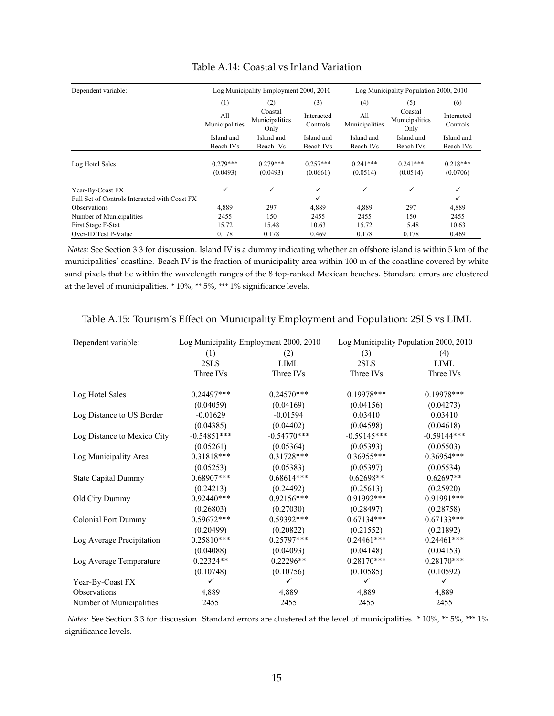| Dependent variable:                           |                        | Log Municipality Employment 2000, 2010 |                        | Log Municipality Population 2000, 2010 |                                   |                        |  |
|-----------------------------------------------|------------------------|----------------------------------------|------------------------|----------------------------------------|-----------------------------------|------------------------|--|
|                                               | (1)                    | (2)                                    | (3)                    | (4)                                    | (5)                               | (6)                    |  |
|                                               | All<br>Municipalities  | Coastal<br>Municipalities<br>Only      | Interacted<br>Controls | All<br>Municipalities                  | Coastal<br>Municipalities<br>Only | Interacted<br>Controls |  |
|                                               | Island and             | Island and                             | Island and             | Island and                             | Island and                        | Island and             |  |
|                                               | Beach IVs              | Beach IVs                              | Beach IVs              | Beach IVs                              | Beach IVs                         | Beach IVs              |  |
| Log Hotel Sales                               | $0.279***$<br>(0.0493) | $0.279***$<br>(0.0493)                 | $0.257***$<br>(0.0661) | $0.241***$<br>(0.0514)                 | $0.241***$<br>(0.0514)            | $0.218***$<br>(0.0706) |  |
| Year-By-Coast FX                              | $\checkmark$           | ✓                                      | $\checkmark$           | ✓                                      | ✓                                 | $\checkmark$           |  |
| Full Set of Controls Interacted with Coast FX |                        |                                        |                        |                                        |                                   | ✓                      |  |
| <b>Observations</b>                           | 4,889                  | 297                                    | 4,889                  | 4,889                                  | 297                               | 4,889                  |  |
| Number of Municipalities                      | 2455                   | 150                                    | 2455                   | 2455                                   | 150                               | 2455                   |  |
| First Stage F-Stat                            | 15.72                  | 15.48                                  | 10.63                  | 15.72                                  | 15.48                             | 10.63                  |  |
| Over-ID Test P-Value                          | 0.178                  | 0.178                                  | 0.469                  | 0.178                                  | 0.178                             | 0.469                  |  |

#### Table A.14: Coastal vs Inland Variation

*Notes:* See Section 3.3 for discussion. Island IV is a dummy indicating whether an offshore island is within 5 km of the municipalities' coastline. Beach IV is the fraction of municipality area within 100 m of the coastline covered by white sand pixels that lie within the wavelength ranges of the 8 top-ranked Mexican beaches. Standard errors are clustered at the level of municipalities. \* 10%, \*\* 5%, \*\*\* 1% significance levels.

| Dependent variable:         |               | Log Municipality Employment 2000, 2010 |               | Log Municipality Population 2000, 2010 |
|-----------------------------|---------------|----------------------------------------|---------------|----------------------------------------|
|                             | (1)           | (2)                                    | (3)           | (4)                                    |
|                             | 2SLS          | <b>LIML</b>                            | 2SLS          | LIML                                   |
|                             | Three IVs     | Three IVs                              | Three IVs     | Three IVs                              |
|                             |               |                                        |               |                                        |
| Log Hotel Sales             | $0.24497***$  | $0.24570***$                           | 0.19978***    | $0.19978***$                           |
|                             | (0.04059)     | (0.04169)                              | (0.04156)     | (0.04273)                              |
| Log Distance to US Border   | $-0.01629$    | $-0.01594$                             | 0.03410       | 0.03410                                |
|                             | (0.04385)     | (0.04402)                              | (0.04598)     | (0.04618)                              |
| Log Distance to Mexico City | $-0.54851***$ | $-0.54770***$                          | $-0.59145***$ | $-0.59144***$                          |
|                             | (0.05261)     | (0.05364)                              | (0.05393)     | (0.05503)                              |
| Log Municipality Area       | $0.31818***$  | $0.31728***$                           | 0.36955***    | 0.36954***                             |
|                             | (0.05253)     | (0.05383)                              | (0.05397)     | (0.05534)                              |
| <b>State Capital Dummy</b>  | 0.68907***    | $0.68614***$                           | $0.62698**$   | $0.62697**$                            |
|                             | (0.24213)     | (0.24492)                              | (0.25613)     | (0.25920)                              |
| Old City Dummy              | $0.92440***$  | $0.92156***$                           | $0.91992***$  | 0.91991***                             |
|                             | (0.26803)     | (0.27030)                              | (0.28497)     | (0.28758)                              |
| <b>Colonial Port Dummy</b>  | $0.59672***$  | 0.59392***                             | $0.67134***$  | $0.67133***$                           |
|                             | (0.20499)     | (0.20822)                              | (0.21552)     | (0.21892)                              |
| Log Average Precipitation   | $0.25810***$  | $0.25797***$                           | $0.24461***$  | $0.24461***$                           |
|                             | (0.04088)     | (0.04093)                              | (0.04148)     | (0.04153)                              |
| Log Average Temperature     | $0.22324**$   | $0.22296**$                            | $0.28170***$  | $0.28170***$                           |
|                             | (0.10748)     | (0.10756)                              | (0.10585)     | (0.10592)                              |
| Year-By-Coast FX            | ✓             | $\checkmark$                           | ✓             | $\checkmark$                           |
| Observations                | 4,889         | 4,889                                  | 4,889         | 4,889                                  |
| Number of Municipalities    | 2455          | 2455                                   | 2455          | 2455                                   |

Table A.15: Tourism's Effect on Municipality Employment and Population: 2SLS vs LIML

*Notes:* See Section 3.3 for discussion. Standard errors are clustered at the level of municipalities. \* 10%, \*\* 5%, \*\*\* 1% significance levels.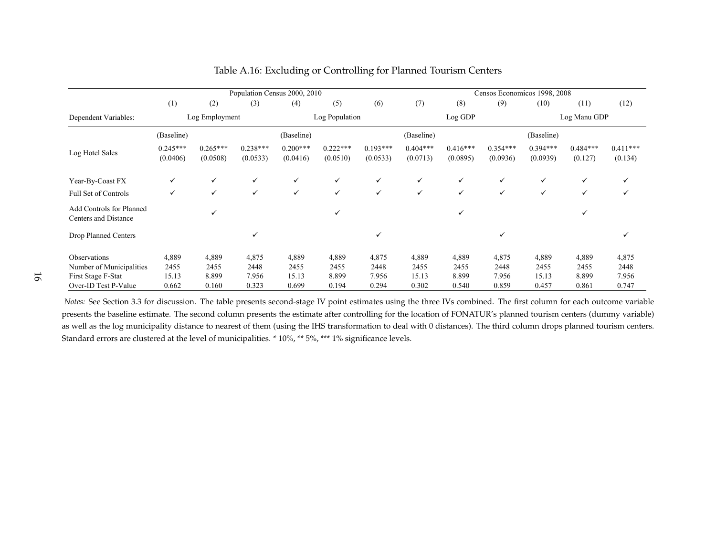|                                                  |                        |                        | Population Census 2000, 2010 |                        |                        |                        |                        |                        | Censos Economicos 1998, 2008 |                        |                       |                       |
|--------------------------------------------------|------------------------|------------------------|------------------------------|------------------------|------------------------|------------------------|------------------------|------------------------|------------------------------|------------------------|-----------------------|-----------------------|
|                                                  | (1)                    | (2)                    | (3)                          | (4)                    | (5)                    | (6)                    | (7)                    | (8)                    | (9)                          | (10)                   | (11)                  | (12)                  |
| Dependent Variables:                             |                        | Log Employment         |                              |                        | Log Population         |                        |                        | Log GDP                |                              |                        | Log Manu GDP          |                       |
|                                                  | (Baseline)             |                        |                              | (Baseline)             |                        |                        | (Baseline)             |                        |                              | (Baseline)             |                       |                       |
| Log Hotel Sales                                  | $0.245***$<br>(0.0406) | $0.265***$<br>(0.0508) | $0.238***$<br>(0.0533)       | $0.200***$<br>(0.0416) | $0.222***$<br>(0.0510) | $0.193***$<br>(0.0533) | $0.404***$<br>(0.0713) | $0.416***$<br>(0.0895) | $0.354***$<br>(0.0936)       | $0.394***$<br>(0.0939) | $0.484***$<br>(0.127) | $0.411***$<br>(0.134) |
| Year-By-Coast FX                                 | ✓                      | ✓                      | ✓                            | ✓                      | $\checkmark$           | $\checkmark$           | $\checkmark$           | ✓                      | $\checkmark$                 | $\checkmark$           | ✓                     | $\checkmark$          |
| Full Set of Controls                             | ✓                      | $\checkmark$           | ✓                            | ✓                      | $\checkmark$           | $\checkmark$           | $\checkmark$           | ✓                      | $\checkmark$                 | ✓                      | ✓                     | ✓                     |
| Add Controls for Planned<br>Centers and Distance |                        | ✓                      |                              |                        | $\checkmark$           |                        |                        | ✓                      |                              |                        |                       |                       |
| Drop Planned Centers                             |                        |                        | ✓                            |                        |                        | ✓                      |                        |                        | ✓                            |                        |                       | ✓                     |
| Observations                                     | 4,889                  | 4,889                  | 4,875                        | 4,889                  | 4,889                  | 4,875                  | 4,889                  | 4,889                  | 4,875                        | 4,889                  | 4,889                 | 4,875                 |
| Number of Municipalities                         | 2455                   | 2455                   | 2448                         | 2455                   | 2455                   | 2448                   | 2455                   | 2455                   | 2448                         | 2455                   | 2455                  | 2448                  |
| First Stage F-Stat                               | 15.13                  | 8.899                  | 7.956                        | 15.13                  | 8.899                  | 7.956                  | 15.13                  | 8.899                  | 7.956                        | 15.13                  | 8.899                 | 7.956                 |
| Over-ID Test P-Value                             | 0.662                  | 0.160                  | 0.323                        | 0.699                  | 0.194                  | 0.294                  | 0.302                  | 0.540                  | 0.859                        | 0.457                  | 0.861                 | 0.747                 |

#### Table A.16: Excluding or Controlling for Planned Tourism Centers

*Notes:* See Section 3.3 for discussion. The table presents second-stage IV point estimates using the three IVs combined. The first column for each outcome variable presents the baseline estimate. The second column presents the estimate after controlling for the location of FONATUR's planned tourism centers (dummy variable)as well as the log municipality distance to nearest of them (using the IHS transformation to deal with 0 distances). The third column drops planned tourism centers. Standard errors are clustered at the level of municipalities. \* 10%, \*\* 5%, \*\*\* 1% significance levels.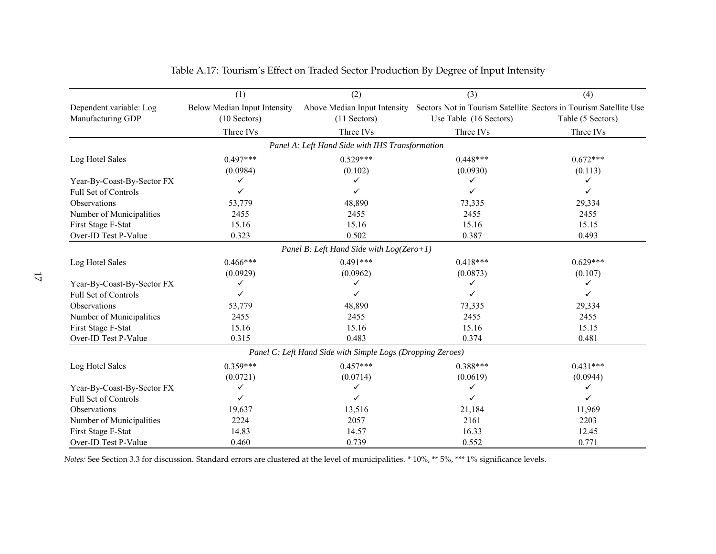|                                              | (1)                                            | (2)                                                        | (3)                    | (4)                                                                                    |
|----------------------------------------------|------------------------------------------------|------------------------------------------------------------|------------------------|----------------------------------------------------------------------------------------|
| Dependent variable: Log<br>Manufacturing GDP | Below Median Input Intensity<br>$(10$ Sectors) | Above Median Input Intensity<br>$(11$ Sectors)             | Use Table (16 Sectors) | Sectors Not in Tourism Satellite Sectors in Tourism Satellite Use<br>Table (5 Sectors) |
|                                              | Three IVs                                      | Three IVs                                                  | Three IVs              | Three IVs                                                                              |
|                                              |                                                | Panel A: Left Hand Side with IHS Transformation            |                        |                                                                                        |
| Log Hotel Sales                              | $0.497***$                                     | $0.529***$                                                 | $0.448***$             | $0.672***$                                                                             |
|                                              | (0.0984)                                       | (0.102)                                                    | (0.0930)               | (0.113)                                                                                |
| Year-By-Coast-By-Sector FX                   | ✓                                              |                                                            | ✓                      | ✓                                                                                      |
| Full Set of Controls                         |                                                |                                                            |                        | ✓                                                                                      |
| Observations                                 | 53,779                                         | 48,890                                                     | 73,335                 | 29,334                                                                                 |
| Number of Municipalities                     | 2455                                           | 2455                                                       | 2455                   | 2455                                                                                   |
| First Stage F-Stat                           | 15.16                                          | 15.16                                                      | 15.16                  | 15.15                                                                                  |
| Over-ID Test P-Value                         | 0.323                                          | 0.502                                                      | 0.387                  | 0.493                                                                                  |
|                                              |                                                | Panel B: Left Hand Side with $Log(Zero+1)$                 |                        |                                                                                        |
| Log Hotel Sales                              | $0.466***$                                     | $0.491***$                                                 | $0.418***$             | $0.629***$                                                                             |
|                                              | (0.0929)                                       | (0.0962)                                                   | (0.0873)               | (0.107)                                                                                |
| Year-By-Coast-By-Sector FX                   | ✓                                              |                                                            | ✓                      |                                                                                        |
| Full Set of Controls                         | ✓                                              |                                                            | ✓                      |                                                                                        |
| Observations                                 | 53,779                                         | 48,890                                                     | 73,335                 | 29,334                                                                                 |
| Number of Municipalities                     | 2455                                           | 2455                                                       | 2455                   | 2455                                                                                   |
| First Stage F-Stat                           | 15.16                                          | 15.16                                                      | 15.16                  | 15.15                                                                                  |
| Over-ID Test P-Value                         | 0.315                                          | 0.483                                                      | 0.374                  | 0.481                                                                                  |
|                                              |                                                | Panel C: Left Hand Side with Simple Logs (Dropping Zeroes) |                        |                                                                                        |
| Log Hotel Sales                              | $0.359***$                                     | $0.457***$                                                 | $0.388***$             | $0.431***$                                                                             |
|                                              | (0.0721)                                       | (0.0714)                                                   | (0.0619)               | (0.0944)                                                                               |
| Year-By-Coast-By-Sector FX                   | ✓                                              | ✓                                                          | ✓                      | ✓                                                                                      |
| Full Set of Controls                         | ✓                                              | ✓                                                          | ✓                      | ✓                                                                                      |
| Observations                                 | 19,637                                         | 13,516                                                     | 21,184                 | 11,969                                                                                 |
| Number of Municipalities                     | 2224                                           | 2057                                                       | 2161                   | 2203                                                                                   |
| First Stage F-Stat                           | 14.83                                          | 14.57                                                      | 16.33                  | 12.45                                                                                  |
| Over-ID Test P-Value                         | 0.460                                          | 0.739                                                      | 0.552                  | 0.771                                                                                  |

Table A.17: Tourism's Effect on Traded Sector Production By Degree of Input Intensity

*Notes:* See Section 3.3 for discussion. Standard errors are clustered at the level of municipalities. \* 10%, \*\* 5%, \*\*\* 1% significance levels.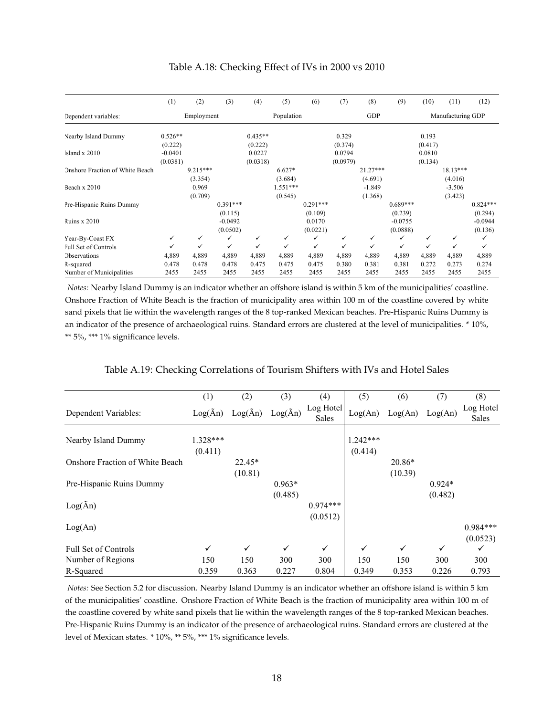|                                 | (1)        | (2)        | (3)        | (4)        | (5)        | (6)        | (7)      | (8)        | (9)        | (10)              | (11)         | (12)       |
|---------------------------------|------------|------------|------------|------------|------------|------------|----------|------------|------------|-------------------|--------------|------------|
| Dependent variables:            | Employment |            |            | Population |            |            | GDP      |            |            | Manufacturing GDP |              |            |
| Nearby Island Dummy             | $0.526**$  |            |            | $0.435**$  |            |            | 0.329    |            |            | 0.193             |              |            |
|                                 | (0.222)    |            |            | (0.222)    |            |            | (0.374)  |            |            | (0.417)           |              |            |
| Island x 2010                   | $-0.0401$  |            |            | 0.0227     |            |            | 0.0794   |            |            | 0.0810            |              |            |
|                                 | (0.0381)   |            |            | (0.0318)   |            |            | (0.0979) |            |            | (0.134)           |              |            |
| Onshore Fraction of White Beach |            | $9.215***$ |            |            | $6.627*$   |            |          | $21.27***$ |            |                   | $18.13***$   |            |
|                                 |            | (3.354)    |            |            | (3.684)    |            |          | (4.691)    |            |                   | (4.016)      |            |
| Beach x 2010                    |            | 0.969      |            |            | $1.551***$ |            |          | $-1.849$   |            |                   | $-3.506$     |            |
|                                 |            | (0.709)    |            |            | (0.545)    |            |          | (1.368)    |            |                   | (3.423)      |            |
| Pre-Hispanic Ruins Dummy        |            |            | $0.391***$ |            |            | $0.291***$ |          |            | $0.689***$ |                   |              | $0.824***$ |
|                                 |            |            | (0.115)    |            |            | (0.109)    |          |            | (0.239)    |                   |              | (0.294)    |
| <b>Ruins x 2010</b>             |            |            | $-0.0492$  |            |            | 0.0170     |          |            | $-0.0755$  |                   |              | $-0.0944$  |
|                                 |            |            | (0.0502)   |            |            | (0.0221)   |          |            | (0.0888)   |                   |              | (0.136)    |
| Year-By-Coast FX                | ✓          | ✓          | ✓          | ✓          | ✓          | ✓          | ✓        | ✓          | ✓          | ✓                 | ✓            | ✓          |
| Full Set of Controls            | ✓          | ✓          | ✓          | ✓          | ✓          | ✓          | ✓        | ✓          | ✓          | $\checkmark$      | $\checkmark$ | ✓          |
| <b>Observations</b>             | 4,889      | 4,889      | 4,889      | 4,889      | 4,889      | 4,889      | 4,889    | 4,889      | 4,889      | 4,889             | 4,889        | 4,889      |
| R-squared                       | 0.478      | 0.478      | 0.478      | 0.475      | 0.475      | 0.475      | 0.380    | 0.381      | 0.381      | 0.272             | 0.273        | 0.274      |
| Number of Municipalities        | 2455       | 2455       | 2455       | 2455       | 2455       | 2455       | 2455     | 2455       | 2455       | 2455              | 2455         | 2455       |

#### Table A.18: Checking Effect of IVs in 2000 vs 2010

*Notes:* Nearby Island Dummy is an indicator whether an offshore island is within 5 km of the municipalities' coastline. Onshore Fraction of White Beach is the fraction of municipality area within 100 m of the coastline covered by white sand pixels that lie within the wavelength ranges of the 8 top-ranked Mexican beaches. Pre-Hispanic Ruins Dummy is an indicator of the presence of archaeological ruins. Standard errors are clustered at the level of municipalities. \* 10%, \*\* 5%, \*\*\* 1% significance levels.

|  | Table A.19: Checking Correlations of Tourism Shifters with IVs and Hotel Sales |  |
|--|--------------------------------------------------------------------------------|--|
|  |                                                                                |  |

|                                        | (1)               | (2)               | (3)               | (4)                       | (5)          | (6)          | (7)          | (8)                |
|----------------------------------------|-------------------|-------------------|-------------------|---------------------------|--------------|--------------|--------------|--------------------|
| Dependent Variables:                   | $Log(\tilde{A}n)$ | $Log(\tilde{A}n)$ | $Log(\tilde{A}n)$ | Log Hotel<br><b>Sales</b> | Log(An)      | Log(An)      | Log(An)      | Log Hotel<br>Sales |
|                                        |                   |                   |                   |                           |              |              |              |                    |
| Nearby Island Dummy                    | 1.328***          |                   |                   |                           | $1.242***$   |              |              |                    |
|                                        | (0.411)           |                   |                   |                           | (0.414)      |              |              |                    |
| <b>Onshore Fraction of White Beach</b> |                   | $22.45*$          |                   |                           |              | $20.86*$     |              |                    |
|                                        |                   | (10.81)           |                   |                           |              | (10.39)      |              |                    |
| Pre-Hispanic Ruins Dummy               |                   |                   | $0.963*$          |                           |              |              | $0.924*$     |                    |
|                                        |                   |                   | (0.485)           |                           |              |              | (0.482)      |                    |
| $Log(\tilde{A}n)$                      |                   |                   |                   | $0.974***$                |              |              |              |                    |
|                                        |                   |                   |                   | (0.0512)                  |              |              |              |                    |
| Log(An)                                |                   |                   |                   |                           |              |              |              | $0.984***$         |
|                                        |                   |                   |                   |                           |              |              |              | (0.0523)           |
| <b>Full Set of Controls</b>            | $\checkmark$      | ✓                 | $\checkmark$      | $\checkmark$              | $\checkmark$ | $\checkmark$ | $\checkmark$ | ✓                  |
| Number of Regions                      | 150               | 150               | 300               | 300                       | 150          | 150          | 300          | 300                |
| R-Squared                              | 0.359             | 0.363             | 0.227             | 0.804                     | 0.349        | 0.353        | 0.226        | 0.793              |

*Notes:* See Section 5.2 for discussion. Nearby Island Dummy is an indicator whether an offshore island is within 5 km of the municipalities' coastline. Onshore Fraction of White Beach is the fraction of municipality area within 100 m of the coastline covered by white sand pixels that lie within the wavelength ranges of the 8 top-ranked Mexican beaches. Pre-Hispanic Ruins Dummy is an indicator of the presence of archaeological ruins. Standard errors are clustered at the level of Mexican states. \* 10%, \*\* 5%, \*\*\* 1% significance levels.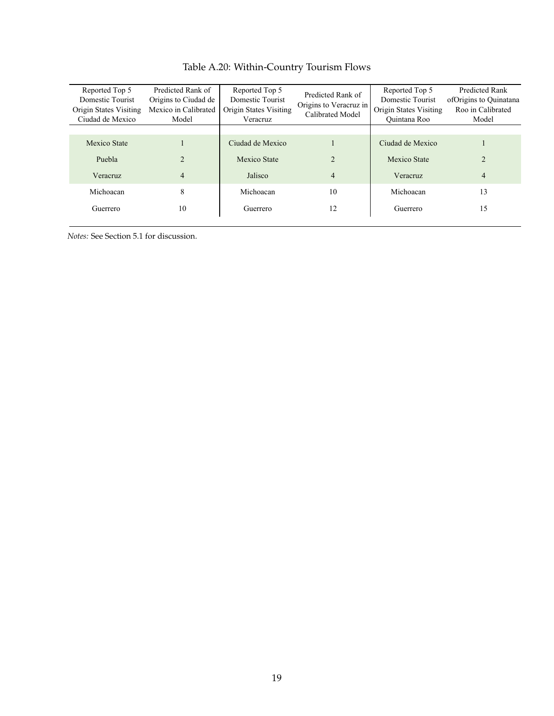| Reported Top 5<br>Domestic Tourist<br>Origin States Visiting<br>Ciudad de Mexico | Predicted Rank of<br>Origins to Ciudad de<br>Mexico in Calibrated<br>Model | Reported Top 5<br>Domestic Tourist<br>Origin States Visiting<br>Veracruz | Predicted Rank of<br>Origins to Veracruz in<br>Calibrated Model | Reported Top 5<br>Domestic Tourist<br>Origin States Visiting<br>Quintana Roo | Predicted Rank<br>ofOrigins to Quinatana<br>Roo in Calibrated<br>Model |
|----------------------------------------------------------------------------------|----------------------------------------------------------------------------|--------------------------------------------------------------------------|-----------------------------------------------------------------|------------------------------------------------------------------------------|------------------------------------------------------------------------|
| Mexico State                                                                     |                                                                            | Ciudad de Mexico                                                         |                                                                 | Ciudad de Mexico                                                             |                                                                        |
| Puebla                                                                           | $\mathfrak{D}$                                                             | Mexico State                                                             | $\mathcal{D}_{\mathcal{L}}$                                     | Mexico State                                                                 | $\overline{2}$                                                         |
| Veracruz                                                                         | 4                                                                          | Jalisco                                                                  | $\overline{4}$                                                  | Veracruz                                                                     | $\overline{4}$                                                         |
| Michoacan                                                                        | 8                                                                          | Michoacan                                                                | 10                                                              | Michoacan                                                                    | 13                                                                     |
| Guerrero                                                                         | 10                                                                         | Guerrero                                                                 | 12                                                              | Guerrero                                                                     | 15                                                                     |

## Table A.20: Within-Country Tourism Flows

*Notes:* See Section 5.1 for discussion.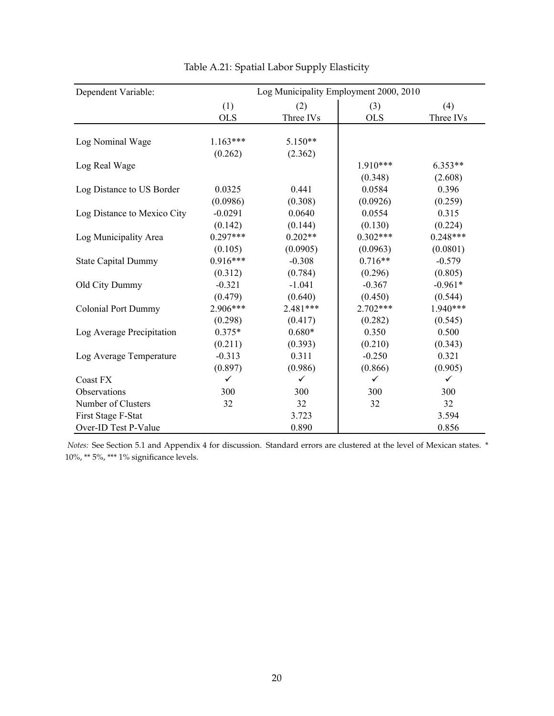| Dependent Variable:         | Log Municipality Employment 2000, 2010 |            |              |              |  |  |  |
|-----------------------------|----------------------------------------|------------|--------------|--------------|--|--|--|
|                             | (1)                                    | (2)        | (3)          | (4)          |  |  |  |
|                             | <b>OLS</b>                             | Three IVs  | <b>OLS</b>   | Three IVs    |  |  |  |
|                             |                                        |            |              |              |  |  |  |
| Log Nominal Wage            | $1.163***$                             | $5.150**$  |              |              |  |  |  |
|                             | (0.262)                                | (2.362)    |              |              |  |  |  |
| Log Real Wage               |                                        |            | $1.910***$   | $6.353**$    |  |  |  |
|                             |                                        |            | (0.348)      | (2.608)      |  |  |  |
| Log Distance to US Border   | 0.0325                                 | 0.441      | 0.0584       | 0.396        |  |  |  |
|                             | (0.0986)                               | (0.308)    | (0.0926)     | (0.259)      |  |  |  |
| Log Distance to Mexico City | $-0.0291$                              | 0.0640     | 0.0554       | 0.315        |  |  |  |
|                             | (0.142)                                | (0.144)    | (0.130)      | (0.224)      |  |  |  |
| Log Municipality Area       | $0.297***$                             | $0.202**$  | $0.302***$   | $0.248***$   |  |  |  |
|                             | (0.105)                                | (0.0905)   | (0.0963)     | (0.0801)     |  |  |  |
| <b>State Capital Dummy</b>  | $0.916***$                             | $-0.308$   | $0.716**$    | $-0.579$     |  |  |  |
|                             | (0.312)                                | (0.784)    | (0.296)      | (0.805)      |  |  |  |
| Old City Dummy              | $-0.321$                               | $-1.041$   | $-0.367$     | $-0.961*$    |  |  |  |
|                             | (0.479)                                | (0.640)    | (0.450)      | (0.544)      |  |  |  |
| <b>Colonial Port Dummy</b>  | 2.906***                               | $2.481***$ | $2.702***$   | $1.940***$   |  |  |  |
|                             | (0.298)                                | (0.417)    | (0.282)      | (0.545)      |  |  |  |
| Log Average Precipitation   | $0.375*$                               | $0.680*$   | 0.350        | 0.500        |  |  |  |
|                             | (0.211)                                | (0.393)    | (0.210)      | (0.343)      |  |  |  |
| Log Average Temperature     | $-0.313$                               | 0.311      | $-0.250$     | 0.321        |  |  |  |
|                             | (0.897)                                | (0.986)    | (0.866)      | (0.905)      |  |  |  |
| Coast FX                    | $\checkmark$                           | ✓          | $\checkmark$ | $\checkmark$ |  |  |  |
| Observations                | 300                                    | 300        | 300          | 300          |  |  |  |
| Number of Clusters          | 32                                     | 32         | 32           | 32           |  |  |  |
| First Stage F-Stat          |                                        | 3.723      |              | 3.594        |  |  |  |
| Over-ID Test P-Value        |                                        | 0.890      |              | 0.856        |  |  |  |

Table A.21: Spatial Labor Supply Elasticity

*Notes:* See Section 5.1 and Appendix 4 for discussion. Standard errors are clustered at the level of Mexican states. \*  $10\%$   $^{\ast\ast}$  5%,  $^{\ast\ast\ast}$  1% significance levels.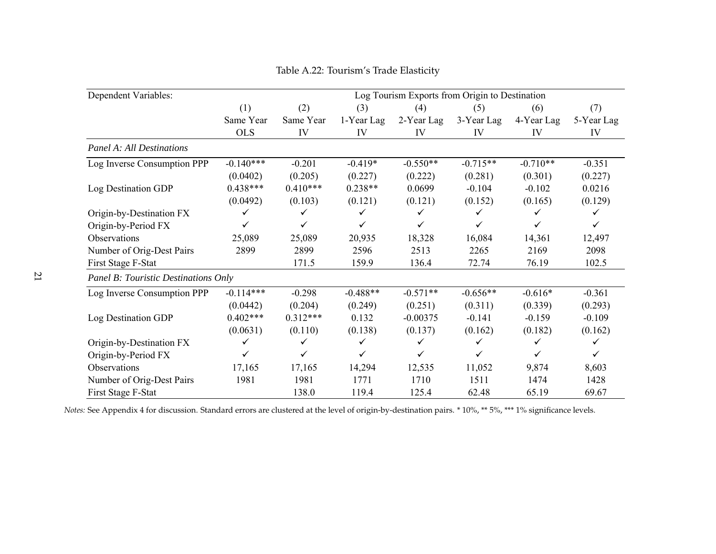| Dependent Variables:                 | Log Tourism Exports from Origin to Destination |            |              |              |              |            |            |  |  |
|--------------------------------------|------------------------------------------------|------------|--------------|--------------|--------------|------------|------------|--|--|
|                                      | (1)                                            | (2)        | (3)          | (4)          | (5)          | (6)        | (7)        |  |  |
|                                      | Same Year                                      | Same Year  | 1-Year Lag   | 2-Year Lag   | 3-Year Lag   | 4-Year Lag | 5-Year Lag |  |  |
|                                      | <b>OLS</b>                                     | IV         | IV           | IV           | IV           | IV         | IV         |  |  |
| <b>Panel A: All Destinations</b>     |                                                |            |              |              |              |            |            |  |  |
| Log Inverse Consumption PPP          | $-0.140***$                                    | $-0.201$   | $-0.419*$    | $-0.550**$   | $-0.715**$   | $-0.710**$ | $-0.351$   |  |  |
|                                      | (0.0402)                                       | (0.205)    | (0.227)      | (0.222)      | (0.281)      | (0.301)    | (0.227)    |  |  |
| Log Destination GDP                  | $0.438***$                                     | $0.410***$ | $0.238**$    | 0.0699       | $-0.104$     | $-0.102$   | 0.0216     |  |  |
|                                      | (0.0492)                                       | (0.103)    | (0.121)      | (0.121)      | (0.152)      | (0.165)    | (0.129)    |  |  |
| Origin-by-Destination FX             | ✓                                              | ✓          | ✓            | ✓            | ✓            | ✓          |            |  |  |
| Origin-by-Period FX                  | ✓                                              | ✓          | $\checkmark$ | $\checkmark$ | $\checkmark$ | ✓          |            |  |  |
| Observations                         | 25,089                                         | 25,089     | 20,935       | 18,328       | 16,084       | 14,361     | 12,497     |  |  |
| Number of Orig-Dest Pairs            | 2899                                           | 2899       | 2596         | 2513         | 2265         | 2169       | 2098       |  |  |
| First Stage F-Stat                   |                                                | 171.5      | 159.9        | 136.4        | 72.74        | 76.19      | 102.5      |  |  |
| Panel B: Touristic Destinations Only |                                                |            |              |              |              |            |            |  |  |
| Log Inverse Consumption PPP          | $-0.114***$                                    | $-0.298$   | $-0.488**$   | $-0.571**$   | $-0.656**$   | $-0.616*$  | $-0.361$   |  |  |
|                                      | (0.0442)                                       | (0.204)    | (0.249)      | (0.251)      | (0.311)      | (0.339)    | (0.293)    |  |  |
| Log Destination GDP                  | $0.402***$                                     | $0.312***$ | 0.132        | $-0.00375$   | $-0.141$     | $-0.159$   | $-0.109$   |  |  |
|                                      | (0.0631)                                       | (0.110)    | (0.138)      | (0.137)      | (0.162)      | (0.182)    | (0.162)    |  |  |
| Origin-by-Destination FX             | ✓                                              | ✓          | ✓            | ✓            | ✓            | ✓          |            |  |  |
| Origin-by-Period FX                  | ✓                                              | ✓          | $\checkmark$ | $\checkmark$ | ✓            | ✓          |            |  |  |
| Observations                         | 17,165                                         | 17,165     | 14,294       | 12,535       | 11,052       | 9,874      | 8,603      |  |  |
| Number of Orig-Dest Pairs            | 1981                                           | 1981       | 1771         | 1710         | 1511         | 1474       | 1428       |  |  |
| First Stage F-Stat                   |                                                | 138.0      | 119.4        | 125.4        | 62.48        | 65.19      | 69.67      |  |  |

Table A.22: Tourism's Trade Elasticity

<span id="page-21-0"></span>*Notes:* See Appendix <sup>4</sup> for discussion. Standard errors are clustered at the level of origin-by-destination pairs. \* 10%, \*\* 5%, \*\*\* 1% significance levels.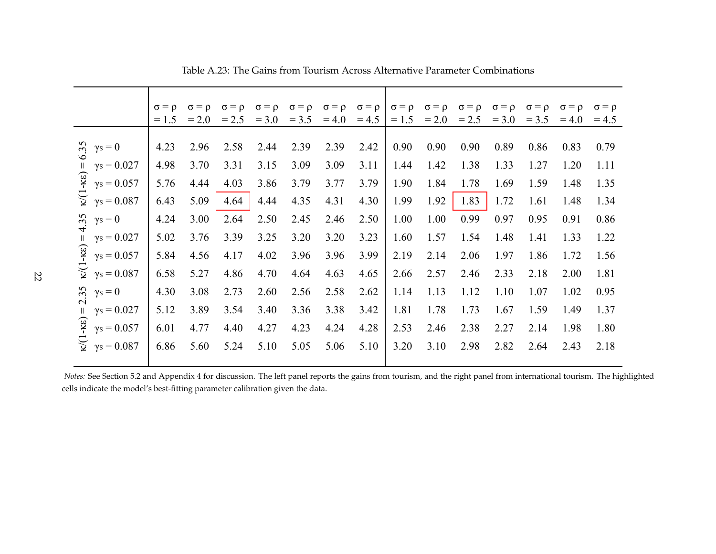|                                                                                                                                                                                                                                                                                                                                                                                                        | $= 1.5$                                                                                      | $\sigma = \rho$<br>$= 2.0$                                                                   | $\sigma = \rho$<br>$= 2.5$                                                                   | $\sigma = \rho$<br>$= 3.0$                                                                   | $\sigma = \rho$<br>$= 3.5$                                                                   | $\sigma = \rho$<br>$=4.0$                                                                    | $\sigma = \rho$<br>$= 4.5$                                                                   | $\sigma = \rho$<br>$= 1.5$                                                                   | $\sigma = \rho$<br>$= 2.0$                                                                   | $\sigma = \rho$<br>$= 2.5$                                                                   | $\sigma = \rho$<br>$= 3.0$                                                                   | $\sigma = \rho$<br>$= 3.5$                                                                   | $\sigma = \rho$<br>$= 4.0$                                                                   | $\sigma = \rho$<br>$= 4.5$                                                                   |
|--------------------------------------------------------------------------------------------------------------------------------------------------------------------------------------------------------------------------------------------------------------------------------------------------------------------------------------------------------------------------------------------------------|----------------------------------------------------------------------------------------------|----------------------------------------------------------------------------------------------|----------------------------------------------------------------------------------------------|----------------------------------------------------------------------------------------------|----------------------------------------------------------------------------------------------|----------------------------------------------------------------------------------------------|----------------------------------------------------------------------------------------------|----------------------------------------------------------------------------------------------|----------------------------------------------------------------------------------------------|----------------------------------------------------------------------------------------------|----------------------------------------------------------------------------------------------|----------------------------------------------------------------------------------------------|----------------------------------------------------------------------------------------------|----------------------------------------------------------------------------------------------|
| 55<br>$\gamma s = 0$<br>$\gamma s = 0.027$<br>$-KE$<br>$\gamma s = 0.057$<br>$\widetilde{\mathbb{Y}}$<br>$\gamma s = 0.087$<br>55<br>$\gamma s = 0$<br>$-k(\epsilon) = 0$<br>$\gamma s = 0.027$<br>$\gamma s = 0.057$<br>$\widetilde{\mathbf{z}}$<br>$\gamma s = 0.087$<br>55<br>$\gamma s = 0$<br>$\gamma s = 0.027$<br>$-KE$<br>$\gamma s = 0.057$<br>$\widetilde{\mathbb{V}}$<br>$\gamma s = 0.087$ | 4.23<br>4.98<br>5.76<br>6.43<br>4.24<br>5.02<br>5.84<br>6.58<br>4.30<br>5.12<br>6.01<br>6.86 | 2.96<br>3.70<br>4.44<br>5.09<br>3.00<br>3.76<br>4.56<br>5.27<br>3.08<br>3.89<br>4.77<br>5.60 | 2.58<br>3.31<br>4.03<br>4.64<br>2.64<br>3.39<br>4.17<br>4.86<br>2.73<br>3.54<br>4.40<br>5.24 | 2.44<br>3.15<br>3.86<br>4.44<br>2.50<br>3.25<br>4.02<br>4.70<br>2.60<br>3.40<br>4.27<br>5.10 | 2.39<br>3.09<br>3.79<br>4.35<br>2.45<br>3.20<br>3.96<br>4.64<br>2.56<br>3.36<br>4.23<br>5.05 | 2.39<br>3.09<br>3.77<br>4.31<br>2.46<br>3.20<br>3.96<br>4.63<br>2.58<br>3.38<br>4.24<br>5.06 | 2.42<br>3.11<br>3.79<br>4.30<br>2.50<br>3.23<br>3.99<br>4.65<br>2.62<br>3.42<br>4.28<br>5.10 | 0.90<br>1.44<br>1.90<br>1.99<br>1.00<br>1.60<br>2.19<br>2.66<br>1.14<br>1.81<br>2.53<br>3.20 | 0.90<br>1.42<br>1.84<br>1.92<br>1.00<br>1.57<br>2.14<br>2.57<br>1.13<br>1.78<br>2.46<br>3.10 | 0.90<br>1.38<br>1.78<br>1.83<br>0.99<br>1.54<br>2.06<br>2.46<br>1.12<br>1.73<br>2.38<br>2.98 | 0.89<br>1.33<br>1.69<br>1.72<br>0.97<br>1.48<br>1.97<br>2.33<br>1.10<br>1.67<br>2.27<br>2.82 | 0.86<br>1.27<br>1.59<br>1.61<br>0.95<br>1.41<br>1.86<br>2.18<br>1.07<br>1.59<br>2.14<br>2.64 | 0.83<br>1.20<br>1.48<br>1.48<br>0.91<br>1.33<br>1.72<br>2.00<br>1.02<br>1.49<br>1.98<br>2.43 | 0.79<br>1.11<br>1.35<br>1.34<br>0.86<br>1.22<br>1.56<br>1.81<br>0.95<br>1.37<br>1.80<br>2.18 |

<span id="page-22-0"></span>Table A.23: The Gains from Tourism Across Alternative Parameter Combinations

*Notes:* See Section 5.2 and Appendix <sup>4</sup> for discussion. The left panel reports the gains from tourism, and the right panel from international tourism. The highlightedcells indicate the model's best-fitting parameter calibration given the data.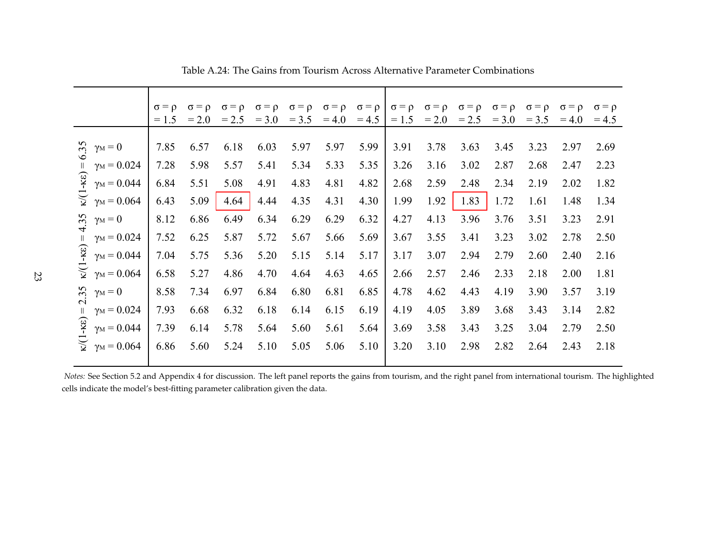|                                                                                                                                                                                                                                                                                                                       | $\sigma = \rho$<br>$= 1.5$                                                   | $\sigma = \rho$<br>$= 2.0$                                                   | $\sigma = \rho$<br>$= 2.5$                                                   | $\sigma = \rho$<br>$= 3.0$                                                   | $\sigma = \rho$<br>$= 3.5$                                                   | $\sigma = \rho$<br>$= 4.0$                                                   | $\sigma = \rho$<br>$= 4.5$                                                   | $\sigma = \rho$<br>$= 1.5$                                                   | $\sigma = \rho$<br>$= 2.0$                                                   | $\sigma = \rho$<br>$= 2.5$                                                   | $\sigma = \rho$<br>$= 3.0$                                                   | $\sigma = \rho$<br>$= 3.5$                                                   | $\sigma = \rho$<br>$= 4.0$                                                   | $\sigma = \rho$<br>$= 4.5$                                                   |
|-----------------------------------------------------------------------------------------------------------------------------------------------------------------------------------------------------------------------------------------------------------------------------------------------------------------------|------------------------------------------------------------------------------|------------------------------------------------------------------------------|------------------------------------------------------------------------------|------------------------------------------------------------------------------|------------------------------------------------------------------------------|------------------------------------------------------------------------------|------------------------------------------------------------------------------|------------------------------------------------------------------------------|------------------------------------------------------------------------------|------------------------------------------------------------------------------|------------------------------------------------------------------------------|------------------------------------------------------------------------------|------------------------------------------------------------------------------|------------------------------------------------------------------------------|
| 6.35<br>$\gamma_M=0$<br>$\gamma_M = 0.024$<br>$-KE$<br>$\gamma_M = 0.044$<br>র্তু<br>$\gamma_M = 0.064$<br>4.35<br>$\gamma_M=0$<br>$\gamma_M = 0.024$<br>$-K\epsilon$<br>$\gamma_M = 0.044$<br>$\widetilde{\mathbf{z}}$<br>$\gamma_M = 0.064$<br>35<br>$\gamma_M=0$<br>$\overline{\mathcal{N}}$<br>$\gamma_M = 0.024$ | 7.85<br>7.28<br>6.84<br>6.43<br>8.12<br>7.52<br>7.04<br>6.58<br>8.58<br>7.93 | 6.57<br>5.98<br>5.51<br>5.09<br>6.86<br>6.25<br>5.75<br>5.27<br>7.34<br>6.68 | 6.18<br>5.57<br>5.08<br>4.64<br>6.49<br>5.87<br>5.36<br>4.86<br>6.97<br>6.32 | 6.03<br>5.41<br>4.91<br>4.44<br>6.34<br>5.72<br>5.20<br>4.70<br>6.84<br>6.18 | 5.97<br>5.34<br>4.83<br>4.35<br>6.29<br>5.67<br>5.15<br>4.64<br>6.80<br>6.14 | 5.97<br>5.33<br>4.81<br>4.31<br>6.29<br>5.66<br>5.14<br>4.63<br>6.81<br>6.15 | 5.99<br>5.35<br>4.82<br>4.30<br>6.32<br>5.69<br>5.17<br>4.65<br>6.85<br>6.19 | 3.91<br>3.26<br>2.68<br>1.99<br>4.27<br>3.67<br>3.17<br>2.66<br>4.78<br>4.19 | 3.78<br>3.16<br>2.59<br>1.92<br>4.13<br>3.55<br>3.07<br>2.57<br>4.62<br>4.05 | 3.63<br>3.02<br>2.48<br>1.83<br>3.96<br>3.41<br>2.94<br>2.46<br>4.43<br>3.89 | 3.45<br>2.87<br>2.34<br>1.72<br>3.76<br>3.23<br>2.79<br>2.33<br>4.19<br>3.68 | 3.23<br>2.68<br>2.19<br>1.61<br>3.51<br>3.02<br>2.60<br>2.18<br>3.90<br>3.43 | 2.97<br>2.47<br>2.02<br>1.48<br>3.23<br>2.78<br>2.40<br>2.00<br>3.57<br>3.14 | 2.69<br>2.23<br>1.82<br>1.34<br>2.91<br>2.50<br>2.16<br>1.81<br>3.19<br>2.82 |
| $-KE$<br>$\gamma_M = 0.044$<br>$\widetilde{\mathcal{L}}$<br>$\gamma_M = 0.064$                                                                                                                                                                                                                                        | 7.39<br>6.86                                                                 | 6.14<br>5.60                                                                 | 5.78<br>5.24                                                                 | 5.64<br>5.10                                                                 | 5.60<br>5.05                                                                 | 5.61<br>5.06                                                                 | 5.64<br>5.10                                                                 | 3.69<br>3.20                                                                 | 3.58<br>3.10                                                                 | 3.43<br>2.98                                                                 | 3.25<br>2.82                                                                 | 3.04<br>2.64                                                                 | 2.79<br>2.43                                                                 | 2.50<br>2.18                                                                 |

<span id="page-23-0"></span>Table A.24: The Gains from Tourism Across Alternative Parameter Combinations

*Notes:* See Section 5.2 and Appendix <sup>4</sup> for discussion. The left panel reports the gains from tourism, and the right panel from international tourism. The highlightedcells indicate the model's best-fitting parameter calibration given the data.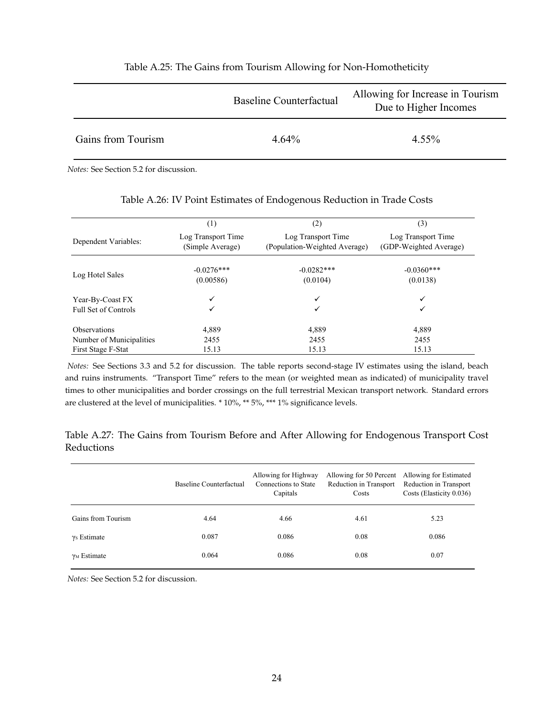|                    | Baseline Counterfactual | Allowing for Increase in Tourism<br>Due to Higher Incomes |
|--------------------|-------------------------|-----------------------------------------------------------|
| Gains from Tourism | $4.64\%$                | $4.55\%$                                                  |

#### Table A.25: The Gains from Tourism Allowing for Non-Homotheticity

*Notes:* See Section 5.2 for discussion.

|                          | $^{(1)}$                               | $^{(2)}$                                            | (3)                                          |
|--------------------------|----------------------------------------|-----------------------------------------------------|----------------------------------------------|
| Dependent Variables:     | Log Transport Time<br>(Simple Average) | Log Transport Time<br>(Population-Weighted Average) | Log Transport Time<br>(GDP-Weighted Average) |
| Log Hotel Sales          | $-0.0276***$<br>(0.00586)              | $-0.0282***$<br>(0.0104)                            | $-0.0360***$<br>(0.0138)                     |
| Year-By-Coast FX         |                                        | ✓                                                   | ✓                                            |
| Full Set of Controls     |                                        | ✓                                                   | ✓                                            |
| <b>Observations</b>      | 4,889                                  | 4,889                                               | 4,889                                        |
| Number of Municipalities | 2455                                   | 2455                                                | 2455                                         |
| First Stage F-Stat       | 15.13                                  | 15.13                                               | 15.13                                        |

#### Table A.26: IV Point Estimates of Endogenous Reduction in Trade Costs

*Notes:* See Sections 3.3 and 5.2 for discussion. The table reports second-stage IV estimates using the island, beach and ruins instruments. "Transport Time" refers to the mean (or weighted mean as indicated) of municipality travel times to other municipalities and border crossings on the full terrestrial Mexican transport network. Standard errors are clustered at the level of municipalities. \* 10%, \*\* 5%, \*\*\* 1% significance levels.

Table A.27: The Gains from Tourism Before and After Allowing for Endogenous Transport Cost Reductions

|                     | Baseline Counterfactual | Allowing for Highway<br>Connections to State<br>Capitals | Allowing for 50 Percent<br>Reduction in Transport<br>Costs | Allowing for Estimated<br>Reduction in Transport<br>Costs (Elasticity 0.036) |
|---------------------|-------------------------|----------------------------------------------------------|------------------------------------------------------------|------------------------------------------------------------------------------|
| Gains from Tourism  | 4.64                    | 4.66                                                     | 4.61                                                       | 5.23                                                                         |
| $\gamma$ s Estimate | 0.087                   | 0.086                                                    | 0.08                                                       | 0.086                                                                        |
| $\gamma_M$ Estimate | 0.064                   | 0.086                                                    | 0.08                                                       | 0.07                                                                         |

*Notes:* See Section 5.2 for discussion.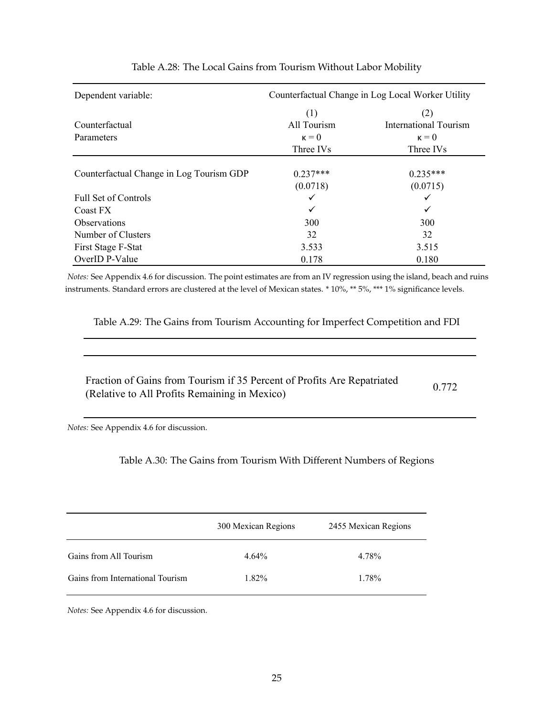<span id="page-25-1"></span>

| Dependent variable:                      | Counterfactual Change in Log Local Worker Utility |                              |  |  |  |
|------------------------------------------|---------------------------------------------------|------------------------------|--|--|--|
|                                          | (1)                                               | (2)                          |  |  |  |
| Counterfactual                           | All Tourism                                       | <b>International Tourism</b> |  |  |  |
| Parameters                               | $\kappa = 0$                                      | $\kappa = 0$                 |  |  |  |
|                                          | Three IVs                                         | Three IVs                    |  |  |  |
|                                          |                                                   |                              |  |  |  |
| Counterfactual Change in Log Tourism GDP | $0.237***$                                        | $0.235***$                   |  |  |  |
|                                          | (0.0718)                                          | (0.0715)                     |  |  |  |
| <b>Full Set of Controls</b>              | ✓                                                 | ✓                            |  |  |  |
| Coast FX                                 | $\checkmark$                                      | ✓                            |  |  |  |
| <b>Observations</b>                      | 300                                               | 300                          |  |  |  |
| Number of Clusters                       | 32                                                | 32                           |  |  |  |
| First Stage F-Stat                       | 3.533                                             | 3.515                        |  |  |  |
| OverID P-Value                           | 0.178                                             | 0.180                        |  |  |  |

### Table A.28: The Local Gains from Tourism Without Labor Mobility

*Notes:* See Appendix 4.6 for discussion. The point estimates are from an IV regression using the island, beach and ruins instruments. Standard errors are clustered at the level of Mexican states. \* 10%, \*\* 5%, \*\*\* 1% significance levels.

<span id="page-25-2"></span>Table A.29: The Gains from Tourism Accounting for Imperfect Competition and FDI

| Fraction of Gains from Tourism if 35 Percent of Profits Are Repatriated | 0.772 |
|-------------------------------------------------------------------------|-------|
| (Relative to All Profits Remaining in Mexico)                           |       |

<span id="page-25-0"></span>*Notes:* See Appendix 4.6 for discussion.

Table A.30: The Gains from Tourism With Different Numbers of Regions

|                                  | 300 Mexican Regions | 2455 Mexican Regions |
|----------------------------------|---------------------|----------------------|
| Gains from All Tourism           | $4.64\%$            | 4.78%                |
| Gains from International Tourism | 1 82%               | 1.78%                |

*Notes:* See Appendix 4.6 for discussion.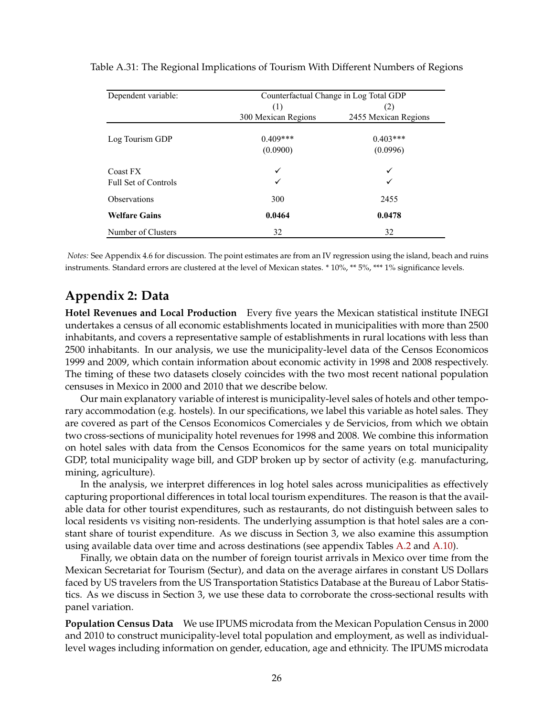| Dependent variable:         | Counterfactual Change in Log Total GDP |                      |  |  |  |
|-----------------------------|----------------------------------------|----------------------|--|--|--|
|                             | (1)                                    | (2)                  |  |  |  |
|                             | 300 Mexican Regions                    | 2455 Mexican Regions |  |  |  |
| Log Tourism GDP             | $0.409***$                             | $0.403***$           |  |  |  |
|                             | (0.0900)                               | (0.0996)             |  |  |  |
| Coast FX                    | ✓                                      | ✓                    |  |  |  |
| <b>Full Set of Controls</b> | ✓                                      |                      |  |  |  |
| <b>Observations</b>         | 300                                    | 2455                 |  |  |  |
| <b>Welfare Gains</b>        | 0.0464                                 | 0.0478               |  |  |  |
| Number of Clusters          | 32                                     | 32                   |  |  |  |

<span id="page-26-0"></span>Table A.31: The Regional Implications of Tourism With Different Numbers of Regions

*Notes:* See Appendix 4.6 for discussion. The point estimates are from an IV regression using the island, beach and ruins instruments. Standard errors are clustered at the level of Mexican states. \* 10%, \*\* 5%, \*\*\* 1% significance levels.

## **Appendix 2: Data**

**Hotel Revenues and Local Production** Every five years the Mexican statistical institute INEGI undertakes a census of all economic establishments located in municipalities with more than 2500 inhabitants, and covers a representative sample of establishments in rural locations with less than 2500 inhabitants. In our analysis, we use the municipality-level data of the Censos Economicos 1999 and 2009, which contain information about economic activity in 1998 and 2008 respectively. The timing of these two datasets closely coincides with the two most recent national population censuses in Mexico in 2000 and 2010 that we describe below.

Our main explanatory variable of interest is municipality-level sales of hotels and other temporary accommodation (e.g. hostels). In our specifications, we label this variable as hotel sales. They are covered as part of the Censos Economicos Comerciales y de Servicios, from which we obtain two cross-sections of municipality hotel revenues for 1998 and 2008. We combine this information on hotel sales with data from the Censos Economicos for the same years on total municipality GDP, total municipality wage bill, and GDP broken up by sector of activity (e.g. manufacturing, mining, agriculture).

In the analysis, we interpret differences in log hotel sales across municipalities as effectively capturing proportional differences in total local tourism expenditures. The reason is that the available data for other tourist expenditures, such as restaurants, do not distinguish between sales to local residents vs visiting non-residents. The underlying assumption is that hotel sales are a constant share of tourist expenditure. As we discuss in Section 3, we also examine this assumption using available data over time and across destinations (see appendix Tables [A.2](#page-5-0) and [A.10\)](#page-11-0).

Finally, we obtain data on the number of foreign tourist arrivals in Mexico over time from the Mexican Secretariat for Tourism (Sectur), and data on the average airfares in constant US Dollars faced by US travelers from the US Transportation Statistics Database at the Bureau of Labor Statistics. As we discuss in Section 3, we use these data to corroborate the cross-sectional results with panel variation.

**Population Census Data** We use IPUMS microdata from the Mexican Population Census in 2000 and 2010 to construct municipality-level total population and employment, as well as individuallevel wages including information on gender, education, age and ethnicity. The IPUMS microdata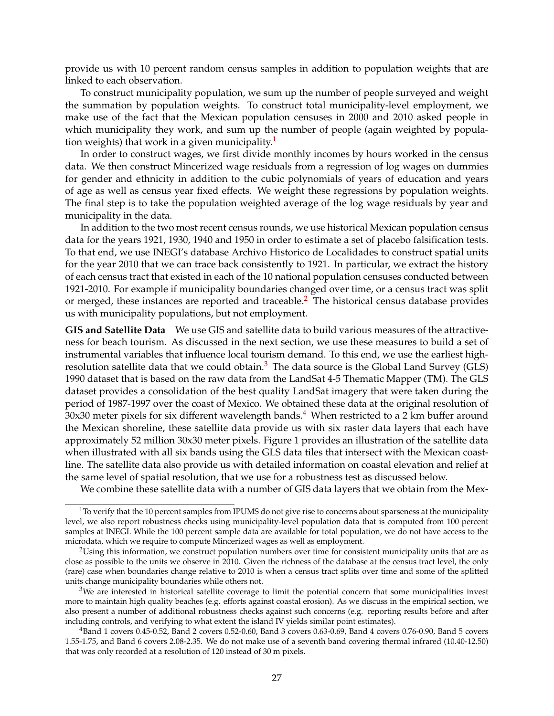provide us with 10 percent random census samples in addition to population weights that are linked to each observation.

To construct municipality population, we sum up the number of people surveyed and weight the summation by population weights. To construct total municipality-level employment, we make use of the fact that the Mexican population censuses in 2000 and 2010 asked people in which municipality they work, and sum up the number of people (again weighted by popula-tion weights) that work in a given municipality.<sup>[1](#page-0-0)</sup>

In order to construct wages, we first divide monthly incomes by hours worked in the census data. We then construct Mincerized wage residuals from a regression of log wages on dummies for gender and ethnicity in addition to the cubic polynomials of years of education and years of age as well as census year fixed effects. We weight these regressions by population weights. The final step is to take the population weighted average of the log wage residuals by year and municipality in the data.

In addition to the two most recent census rounds, we use historical Mexican population census data for the years 1921, 1930, 1940 and 1950 in order to estimate a set of placebo falsification tests. To that end, we use INEGI's database Archivo Historico de Localidades to construct spatial units for the year 2010 that we can trace back consistently to 1921. In particular, we extract the history of each census tract that existed in each of the 10 national population censuses conducted between 1921-2010. For example if municipality boundaries changed over time, or a census tract was split or merged, these instances are reported and traceable.<sup>[2](#page-0-0)</sup> The historical census database provides us with municipality populations, but not employment.

**GIS and Satellite Data** We use GIS and satellite data to build various measures of the attractiveness for beach tourism. As discussed in the next section, we use these measures to build a set of instrumental variables that influence local tourism demand. To this end, we use the earliest high-resolution satellite data that we could obtain.<sup>[3](#page-0-0)</sup> The data source is the Global Land Survey (GLS) 1990 dataset that is based on the raw data from the LandSat 4-5 Thematic Mapper (TM). The GLS dataset provides a consolidation of the best quality LandSat imagery that were taken during the period of 1987-1997 over the coast of Mexico. We obtained these data at the original resolution of  $30x30$  meter pixels for six different wavelength bands.<sup>[4](#page-0-0)</sup> When restricted to a 2 km buffer around the Mexican shoreline, these satellite data provide us with six raster data layers that each have approximately 52 million 30x30 meter pixels. Figure 1 provides an illustration of the satellite data when illustrated with all six bands using the GLS data tiles that intersect with the Mexican coastline. The satellite data also provide us with detailed information on coastal elevation and relief at the same level of spatial resolution, that we use for a robustness test as discussed below.

We combine these satellite data with a number of GIS data layers that we obtain from the Mex-

 $1$ To verify that the 10 percent samples from IPUMS do not give rise to concerns about sparseness at the municipality level, we also report robustness checks using municipality-level population data that is computed from 100 percent samples at INEGI. While the 100 percent sample data are available for total population, we do not have access to the microdata, which we require to compute Mincerized wages as well as employment.

 $2$ Using this information, we construct population numbers over time for consistent municipality units that are as close as possible to the units we observe in 2010. Given the richness of the database at the census tract level, the only (rare) case when boundaries change relative to 2010 is when a census tract splits over time and some of the splitted units change municipality boundaries while others not.

<sup>&</sup>lt;sup>3</sup>We are interested in historical satellite coverage to limit the potential concern that some municipalities invest more to maintain high quality beaches (e.g. efforts against coastal erosion). As we discuss in the empirical section, we also present a number of additional robustness checks against such concerns (e.g. reporting results before and after including controls, and verifying to what extent the island IV yields similar point estimates).

<sup>4</sup>Band 1 covers 0.45-0.52, Band 2 covers 0.52-0.60, Band 3 covers 0.63-0.69, Band 4 covers 0.76-0.90, Band 5 covers 1.55-1.75, and Band 6 covers 2.08-2.35. We do not make use of a seventh band covering thermal infrared (10.40-12.50) that was only recorded at a resolution of 120 instead of 30 m pixels.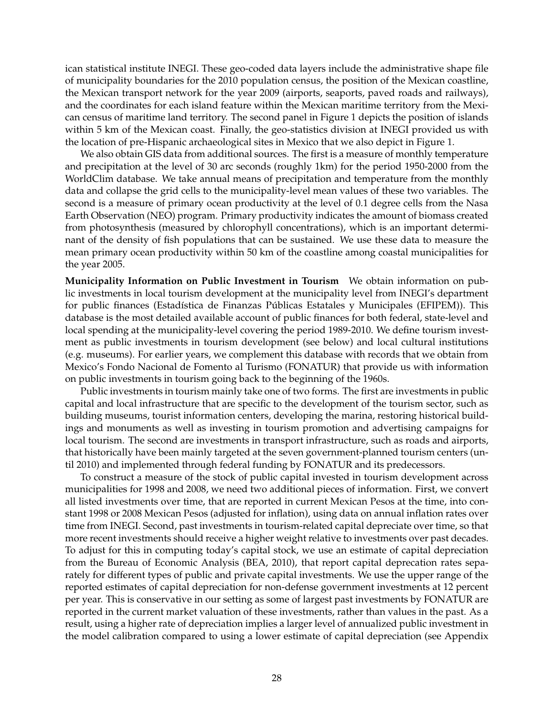ican statistical institute INEGI. These geo-coded data layers include the administrative shape file of municipality boundaries for the 2010 population census, the position of the Mexican coastline, the Mexican transport network for the year 2009 (airports, seaports, paved roads and railways), and the coordinates for each island feature within the Mexican maritime territory from the Mexican census of maritime land territory. The second panel in Figure 1 depicts the position of islands within 5 km of the Mexican coast. Finally, the geo-statistics division at INEGI provided us with the location of pre-Hispanic archaeological sites in Mexico that we also depict in Figure 1.

We also obtain GIS data from additional sources. The first is a measure of monthly temperature and precipitation at the level of 30 arc seconds (roughly 1km) for the period 1950-2000 from the WorldClim database. We take annual means of precipitation and temperature from the monthly data and collapse the grid cells to the municipality-level mean values of these two variables. The second is a measure of primary ocean productivity at the level of 0.1 degree cells from the Nasa Earth Observation (NEO) program. Primary productivity indicates the amount of biomass created from photosynthesis (measured by chlorophyll concentrations), which is an important determinant of the density of fish populations that can be sustained. We use these data to measure the mean primary ocean productivity within 50 km of the coastline among coastal municipalities for the year 2005.

**Municipality Information on Public Investment in Tourism** We obtain information on public investments in local tourism development at the municipality level from INEGI's department for public finances (Estadística de Finanzas Públicas Estatales y Municipales (EFIPEM)). This database is the most detailed available account of public finances for both federal, state-level and local spending at the municipality-level covering the period 1989-2010. We define tourism investment as public investments in tourism development (see below) and local cultural institutions (e.g. museums). For earlier years, we complement this database with records that we obtain from Mexico's Fondo Nacional de Fomento al Turismo (FONATUR) that provide us with information on public investments in tourism going back to the beginning of the 1960s.

Public investments in tourism mainly take one of two forms. The first are investments in public capital and local infrastructure that are specific to the development of the tourism sector, such as building museums, tourist information centers, developing the marina, restoring historical buildings and monuments as well as investing in tourism promotion and advertising campaigns for local tourism. The second are investments in transport infrastructure, such as roads and airports, that historically have been mainly targeted at the seven government-planned tourism centers (until 2010) and implemented through federal funding by FONATUR and its predecessors.

To construct a measure of the stock of public capital invested in tourism development across municipalities for 1998 and 2008, we need two additional pieces of information. First, we convert all listed investments over time, that are reported in current Mexican Pesos at the time, into constant 1998 or 2008 Mexican Pesos (adjusted for inflation), using data on annual inflation rates over time from INEGI. Second, past investments in tourism-related capital depreciate over time, so that more recent investments should receive a higher weight relative to investments over past decades. To adjust for this in computing today's capital stock, we use an estimate of capital depreciation from the Bureau of Economic Analysis (BEA, 2010), that report capital deprecation rates separately for different types of public and private capital investments. We use the upper range of the reported estimates of capital depreciation for non-defense government investments at 12 percent per year. This is conservative in our setting as some of largest past investments by FONATUR are reported in the current market valuation of these investments, rather than values in the past. As a result, using a higher rate of depreciation implies a larger level of annualized public investment in the model calibration compared to using a lower estimate of capital depreciation (see Appendix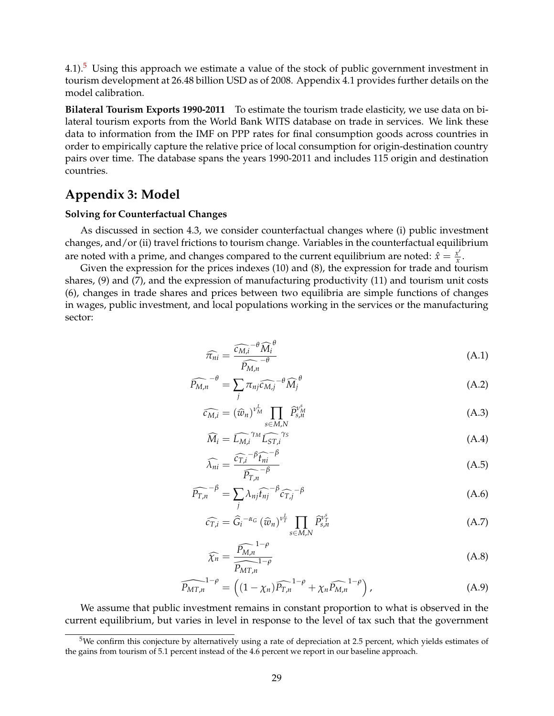4.1). $5$  Using this approach we estimate a value of the stock of public government investment in tourism development at 26.48 billion USD as of 2008. Appendix 4.1 provides further details on the model calibration.

**Bilateral Tourism Exports 1990-2011** To estimate the tourism trade elasticity, we use data on bilateral tourism exports from the World Bank WITS database on trade in services. We link these data to information from the IMF on PPP rates for final consumption goods across countries in order to empirically capture the relative price of local consumption for origin-destination country pairs over time. The database spans the years 1990-2011 and includes 115 origin and destination countries.

## **Appendix 3: Model**

#### **Solving for Counterfactual Changes**

As discussed in section 4.3, we consider counterfactual changes where (i) public investment changes, and/or (ii) travel frictions to tourism change. Variables in the counterfactual equilibrium are noted with a prime, and changes compared to the current equilibrium are noted:  $\hat{x} = \frac{x'}{x}$  $\frac{x}{x}$ .

Given the expression for the prices indexes (10) and (8), the expression for trade and tourism shares, (9) and (7), and the expression of manufacturing productivity (11) and tourism unit costs (6), changes in trade shares and prices between two equilibria are simple functions of changes in wages, public investment, and local populations working in the services or the manufacturing sector:

<span id="page-29-0"></span>
$$
\widehat{\pi_{ni}} = \frac{\widehat{c_{M,i}} - \theta \widehat{M}_i^{\theta}}{\widehat{P_{M,n}} - \theta} \tag{A.1}
$$

$$
\widehat{P_{M,n}}^{-\theta} = \sum_{j} \pi_{nj} \widehat{c_{M,j}}^{-\theta} \widehat{M}_j^{\theta}
$$
 (A.2)

$$
\widehat{c_{M,i}} = (\widehat{w}_n)^{\nu_M^L} \prod_{s \in M,N} \widehat{P}_{s,n}^{\nu_M^s}
$$
\n(A.3)

$$
\widehat{M}_i = \widehat{L_{M,i}}^{\gamma M} \widehat{L_{ST,i}}^{\gamma S} \tag{A.4}
$$

$$
\widehat{\lambda_{ni}} = \frac{\widehat{c_{T,i}}^{-\beta} \widehat{t_{ni}}^{-\beta}}{\widehat{P_{T,n}}^{-\beta}}
$$
\n(A.5)

$$
\widehat{P_{T,n}}^{-\beta} = \sum_{j} \lambda_{nj} \widehat{t_{nj}}^{-\beta} \widehat{c_{T,j}}^{-\beta}
$$
\n(A.6)

$$
\widehat{c_{T,i}} = \widehat{G}_i^{-\alpha_G} \left( \widehat{w}_n \right)^{\nu_T^L} \prod_{s \in M, N} \widehat{P}_{s,n}^{\nu_T^s} \tag{A.7}
$$

<span id="page-29-1"></span>
$$
\widehat{\chi_n} = \frac{\widehat{P_{M,n}}^{1-\rho}}{\widehat{P_{MT,n}}^{1-\rho}}
$$
\n(A.8)

$$
\widehat{P_{MT,n}}^{1-\rho} = \left( (1 - \chi_n) \widehat{P_{T,n}}^{1-\rho} + \chi_n \widehat{P_{M,n}}^{1-\rho} \right), \tag{A.9}
$$

We assume that public investment remains in constant proportion to what is observed in the current equilibrium, but varies in level in response to the level of tax such that the government

<sup>5</sup>We confirm this conjecture by alternatively using a rate of depreciation at 2.5 percent, which yields estimates of the gains from tourism of 5.1 percent instead of the 4.6 percent we report in our baseline approach.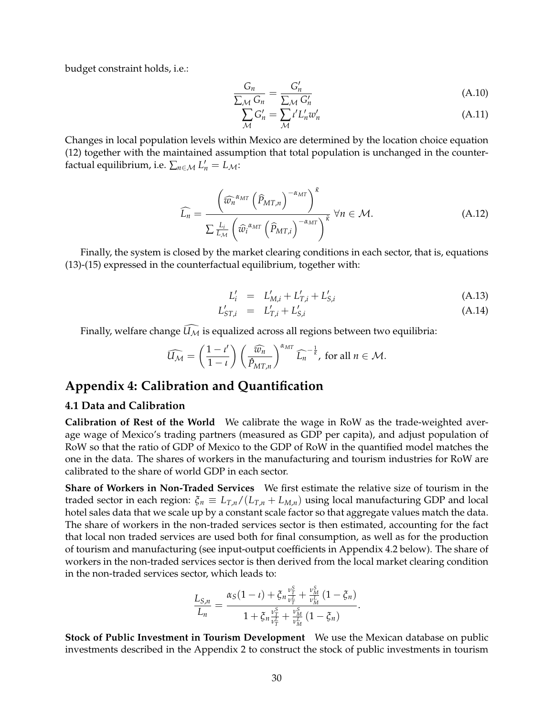budget constraint holds, i.e.:

$$
\frac{G_n}{\sum_{\mathcal{M}} G_n} = \frac{G'_n}{\sum_{\mathcal{M}} G'_n}
$$
\n(A.10)

$$
\sum_{\mathcal{M}} G'_n = \sum_{\mathcal{M}} \iota' L'_n w'_n \tag{A.11}
$$

Changes in local population levels within Mexico are determined by the location choice equation (12) together with the maintained assumption that total population is unchanged in the counterfactual equilibrium, i.e.  $\sum_{n \in \mathcal{M}} L'_n = L_{\mathcal{M}}$ :

$$
\widehat{L_n} = \frac{\left(\widehat{w_n}^{\alpha_{MT}} \left(\widehat{P}_{MT,n}\right)^{-\alpha_{MT}}\right)^{\tilde{\kappa}}}{\sum_{L_M} L_i \left(\widehat{w_i}^{\alpha_{MT}} \left(\widehat{P}_{MT,i}\right)^{-\alpha_{MT}}\right)^{\tilde{\kappa}} \forall n \in \mathcal{M}.
$$
\n(A.12)

Finally, the system is closed by the market clearing conditions in each sector, that is, equations (13)-(15) expressed in the counterfactual equilibrium, together with:

<span id="page-30-0"></span>
$$
L'_{i} = L'_{M,i} + L'_{T,i} + L'_{S,i}
$$
\n(A.13)

$$
L'_{ST,i} = L'_{T,i} + L'_{S,i}
$$
 (A.14)

Finally, welfare change  $\widehat{U_{\mathcal{M}}}$  is equalized across all regions between two equilibria:

$$
\widehat{U_{\mathcal{M}}} = \left(\frac{1-l'}{1-\iota}\right) \left(\frac{\widehat{w_n}}{\widehat{P}_{MT,n}}\right)^{\alpha_{MT}} \widehat{L_n}^{-\frac{1}{\widehat{\kappa}}}, \text{ for all } n \in \mathcal{M}.
$$

## **Appendix 4: Calibration and Quantification**

#### **4.1 Data and Calibration**

**Calibration of Rest of the World** We calibrate the wage in RoW as the trade-weighted average wage of Mexico's trading partners (measured as GDP per capita), and adjust population of RoW so that the ratio of GDP of Mexico to the GDP of RoW in the quantified model matches the one in the data. The shares of workers in the manufacturing and tourism industries for RoW are calibrated to the share of world GDP in each sector.

**Share of Workers in Non-Traded Services** We first estimate the relative size of tourism in the traded sector in each region:  $\xi_n \equiv L_{T,n}/(L_{T,n} + L_{M,n})$  using local manufacturing GDP and local hotel sales data that we scale up by a constant scale factor so that aggregate values match the data. The share of workers in the non-traded services sector is then estimated, accounting for the fact that local non traded services are used both for final consumption, as well as for the production of tourism and manufacturing (see input-output coefficients in Appendix 4.2 below). The share of workers in the non-traded services sector is then derived from the local market clearing condition in the non-traded services sector, which leads to:

$$
\frac{L_{S,n}}{L_n} = \frac{\alpha_S (1 - \iota) + \xi_n \frac{\nu_T^S}{\nu_T^L} + \frac{\nu_M^S}{\nu_M^L} (1 - \xi_n)}{1 + \xi_n \frac{\nu_T^S}{\nu_T^L} + \frac{\nu_M^S}{\nu_M^L} (1 - \xi_n)}.
$$

**Stock of Public Investment in Tourism Development** We use the Mexican database on public investments described in the Appendix 2 to construct the stock of public investments in tourism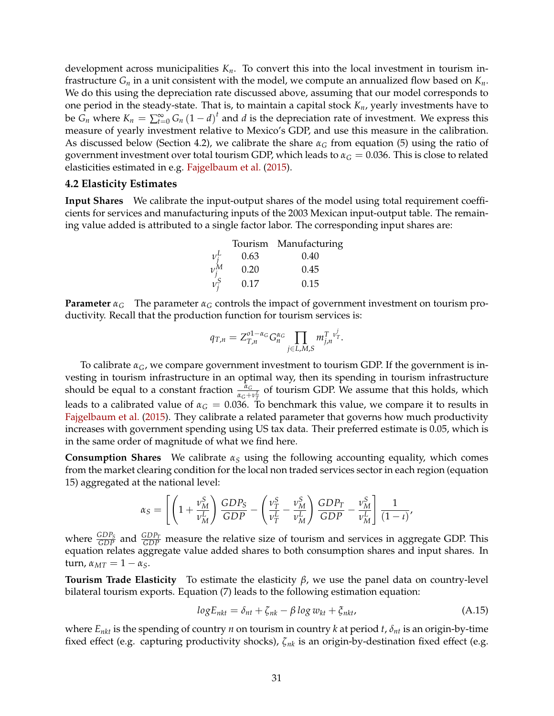development across municipalities *Kn*. To convert this into the local investment in tourism infrastructure  $G_n$  in a unit consistent with the model, we compute an annualized flow based on  $K_n$ . We do this using the depreciation rate discussed above, assuming that our model corresponds to one period in the steady-state. That is, to maintain a capital stock *Kn*, yearly investments have to be  $G_n$  where  $K_n = \sum_{t=0}^{\infty} G_n (1 - d)^t$  and *d* is the depreciation rate of investment. We express this measure of yearly investment relative to Mexico's GDP, and use this measure in the calibration. As discussed below (Section 4.2), we calibrate the share  $\alpha_G$  from equation (5) using the ratio of government investment over total tourism GDP, which leads to  $\alpha_G = 0.036$ . This is close to related elasticities estimated in e.g. [Fajgelbaum et al.](#page-39-0) [\(2015\)](#page-39-0).

#### **4.2 Elasticity Estimates**

**Input Shares** We calibrate the input-output shares of the model using total requirement coefficients for services and manufacturing inputs of the 2003 Mexican input-output table. The remaining value added is attributed to a single factor labor. The corresponding input shares are:

|           |      | Tourism Manufacturing |
|-----------|------|-----------------------|
| $v_i^L$   | 0.63 | 0.40                  |
| $\nu_i^M$ | 0.20 | 0.45                  |
| $v_i^S$   | 0.17 | 0.15                  |
|           |      |                       |

**Parameter**  $\alpha_G$  The parameter  $\alpha_G$  controls the impact of government investment on tourism productivity. Recall that the production function for tourism services is:

$$
q_{T,n} = Z_{T,n}^{01-\alpha_G} G_n^{\alpha_G} \prod_{j \in L, M, S} m_{j,n}^T v_T^j.
$$

To calibrate  $\alpha_G$ , we compare government investment to tourism GDP. If the government is investing in tourism infrastructure in an optimal way, then its spending in tourism infrastructure should be equal to a constant fraction  $\frac{\alpha_G}{\alpha_G + \nu_T^L}$  of tourism GDP. We assume that this holds, which leads to a calibrated value of  $\alpha_G = 0.036$ . To benchmark this value, we compare it to results in [Fajgelbaum et al.](#page-39-0) [\(2015\)](#page-39-0). They calibrate a related parameter that governs how much productivity increases with government spending using US tax data. Their preferred estimate is 0.05, which is in the same order of magnitude of what we find here.

**Consumption Shares** We calibrate *α<sup>S</sup>* using the following accounting equality, which comes from the market clearing condition for the local non traded services sector in each region (equation 15) aggregated at the national level:

$$
\alpha_S = \left[ \left( 1 + \frac{\nu_M^S}{\nu_M^L} \right) \frac{GDP_S}{GDP} - \left( \frac{\nu_T^S}{\nu_T^L} - \frac{\nu_M^S}{\nu_M^L} \right) \frac{GDP_T}{GDP} - \frac{\nu_M^S}{\nu_M^L} \right] \frac{1}{(1 - \iota)},
$$

where  $\frac{GDP_S}{GDP}$  and  $\frac{GDP_T}{GDP}$  measure the relative size of tourism and services in aggregate GDP. This equation relates aggregate value added shares to both consumption shares and input shares. In turn,  $α<sub>MT</sub> = 1 - α<sub>S</sub>$ .

**Tourism Trade Elasticity** To estimate the elasticity *β*, we use the panel data on country-level bilateral tourism exports. Equation (7) leads to the following estimation equation:

<span id="page-31-0"></span>
$$
logE_{nkt} = \delta_{nt} + \zeta_{nk} - \beta \log w_{kt} + \zeta_{nkt},
$$
\n(A.15)

where *Enkt* is the spending of country *n* on tourism in country *k* at period *t*, *δnt* is an origin-by-time fixed effect (e.g. capturing productivity shocks), *ζnk* is an origin-by-destination fixed effect (e.g.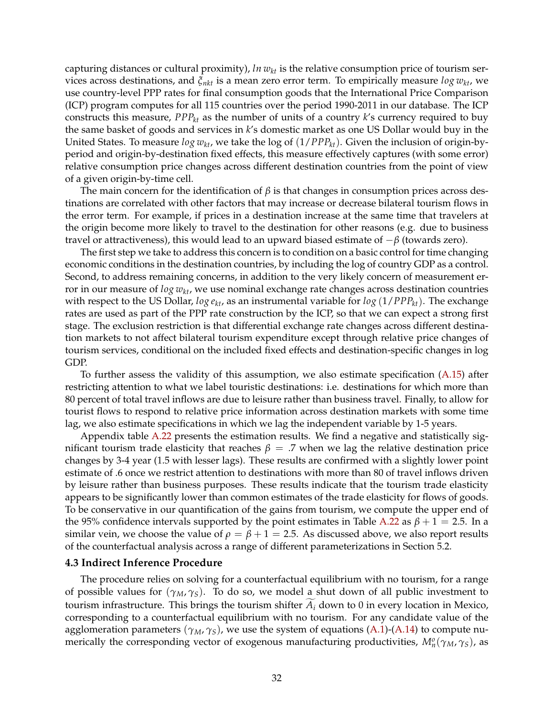capturing distances or cultural proximity), *ln wkt* is the relative consumption price of tourism services across destinations, and *ξnkt* is a mean zero error term. To empirically measure *log wkt*, we use country-level PPP rates for final consumption goods that the International Price Comparison (ICP) program computes for all 115 countries over the period 1990-2011 in our database. The ICP constructs this measure, *PPPkt* as the number of units of a country *k*'s currency required to buy the same basket of goods and services in *k*'s domestic market as one US Dollar would buy in the United States. To measure *log wkt*, we take the log of (1/*PPPkt*). Given the inclusion of origin-byperiod and origin-by-destination fixed effects, this measure effectively captures (with some error) relative consumption price changes across different destination countries from the point of view of a given origin-by-time cell.

The main concern for the identification of  $\beta$  is that changes in consumption prices across destinations are correlated with other factors that may increase or decrease bilateral tourism flows in the error term. For example, if prices in a destination increase at the same time that travelers at the origin become more likely to travel to the destination for other reasons (e.g. due to business travel or attractiveness), this would lead to an upward biased estimate of −*β* (towards zero).

The first step we take to address this concern is to condition on a basic control for time changing economic conditions in the destination countries, by including the log of country GDP as a control. Second, to address remaining concerns, in addition to the very likely concern of measurement error in our measure of *log wkt*, we use nominal exchange rate changes across destination countries with respect to the US Dollar,  $log \epsilon_{kt}$ , as an instrumental variable for  $log(1/PP_{kt})$ . The exchange rates are used as part of the PPP rate construction by the ICP, so that we can expect a strong first stage. The exclusion restriction is that differential exchange rate changes across different destination markets to not affect bilateral tourism expenditure except through relative price changes of tourism services, conditional on the included fixed effects and destination-specific changes in log GDP.

To further assess the validity of this assumption, we also estimate specification  $(A.15)$  after restricting attention to what we label touristic destinations: i.e. destinations for which more than 80 percent of total travel inflows are due to leisure rather than business travel. Finally, to allow for tourist flows to respond to relative price information across destination markets with some time lag, we also estimate specifications in which we lag the independent variable by 1-5 years.

Appendix table [A.22](#page-21-0) presents the estimation results. We find a negative and statistically significant tourism trade elasticity that reaches  $β = .7$  when we lag the relative destination price changes by 3-4 year (1.5 with lesser lags). These results are confirmed with a slightly lower point estimate of .6 once we restrict attention to destinations with more than 80 of travel inflows driven by leisure rather than business purposes. These results indicate that the tourism trade elasticity appears to be significantly lower than common estimates of the trade elasticity for flows of goods. To be conservative in our quantification of the gains from tourism, we compute the upper end of the 95% confidence intervals supported by the point estimates in Table [A.22](#page-21-0) as  $\beta + 1 = 2.5$ . In a similar vein, we choose the value of  $\rho = \beta + 1 = 2.5$ . As discussed above, we also report results of the counterfactual analysis across a range of different parameterizations in Section 5.2.

#### **4.3 Indirect Inference Procedure**

The procedure relies on solving for a counterfactual equilibrium with no tourism, for a range of possible values for (*γM*, *γS*). To do so, we model a shut down of all public investment to tourism infrastructure. This brings the tourism shifter  $A_i$  down to 0 in every location in Mexico, corresponding to a counterfactual equilibrium with no tourism. For any candidate value of the agglomeration parameters (*γM*, *γS*), we use the system of equations [\(A.1\)](#page-29-0)-[\(A.14\)](#page-30-0) to compute numerically the corresponding vector of exogenous manufacturing productivities, *M<sup>o</sup> n* (*γM*, *γS*), as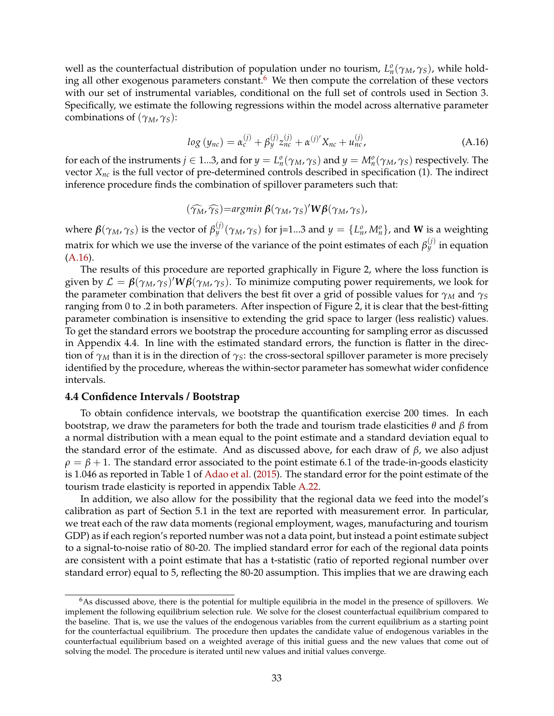well as the counterfactual distribution of population under no tourism,  $L_n^o(\gamma_M, \gamma_S)$ , while hold-ing all other exogenous parameters constant.<sup>[6](#page-0-0)</sup> We then compute the correlation of these vectors with our set of instrumental variables, conditional on the full set of controls used in Section 3. Specifically, we estimate the following regressions within the model across alternative parameter combinations of (*γM*, *γS*):

<span id="page-33-0"></span>
$$
log (y_{nc}) = \alpha_c^{(j)} + \beta_y^{(j)} z_{nc}^{(j)} + \alpha^{(j)'} X_{nc} + u_{nc}^{(j)},
$$
 (A.16)

for each of the instruments  $j \in 1...3$ , and for  $y = L_n^o(\gamma_M, \gamma_S)$  and  $y = M_n^o(\gamma_M, \gamma_S)$  respectively. The vector *Xnc* is the full vector of pre-determined controls described in specification (1). The indirect inference procedure finds the combination of spillover parameters such that:

$$
(\widehat{\gamma_M}, \widehat{\gamma_S}) = \argmin \beta(\gamma_M, \gamma_S)' W \beta(\gamma_M, \gamma_S),
$$

where  $\pmb{\beta}(\gamma_M,\gamma_S)$  is the vector of  $\beta_y^{(j)}(\gamma_M,\gamma_S)$  for j=1...3 and  $y=\{L_n^o,M_n^o\}$ , and  $\pmb{W}$  is a weighting matrix for which we use the inverse of the variance of the point estimates of each  $\beta_y^{(j)}$  in equation [\(A.16\)](#page-33-0).

The results of this procedure are reported graphically in Figure 2, where the loss function is given by  $\mathcal{L} = \beta(\gamma_M, \gamma_S)' W \beta(\gamma_M, \gamma_S)$ . To minimize computing power requirements, we look for the parameter combination that delivers the best fit over a grid of possible values for  $\gamma_M$  and  $\gamma_S$ ranging from 0 to .2 in both parameters. After inspection of Figure 2, it is clear that the best-fitting parameter combination is insensitive to extending the grid space to larger (less realistic) values. To get the standard errors we bootstrap the procedure accounting for sampling error as discussed in Appendix 4.4. In line with the estimated standard errors, the function is flatter in the direction of  $\gamma_M$  than it is in the direction of  $\gamma_S$ : the cross-sectoral spillover parameter is more precisely identified by the procedure, whereas the within-sector parameter has somewhat wider confidence intervals.

#### **4.4 Confidence Intervals / Bootstrap**

To obtain confidence intervals, we bootstrap the quantification exercise 200 times. In each bootstrap, we draw the parameters for both the trade and tourism trade elasticities *θ* and *β* from a normal distribution with a mean equal to the point estimate and a standard deviation equal to the standard error of the estimate. And as discussed above, for each draw of *β*, we also adjust  $\rho = \beta + 1$ . The standard error associated to the point estimate 6.1 of the trade-in-goods elasticity is 1.046 as reported in Table 1 of [Adao et al.](#page-39-1) [\(2015\)](#page-39-1). The standard error for the point estimate of the tourism trade elasticity is reported in appendix Table [A.22.](#page-21-0)

In addition, we also allow for the possibility that the regional data we feed into the model's calibration as part of Section 5.1 in the text are reported with measurement error. In particular, we treat each of the raw data moments (regional employment, wages, manufacturing and tourism GDP) as if each region's reported number was not a data point, but instead a point estimate subject to a signal-to-noise ratio of 80-20. The implied standard error for each of the regional data points are consistent with a point estimate that has a t-statistic (ratio of reported regional number over standard error) equal to 5, reflecting the 80-20 assumption. This implies that we are drawing each

 $6$ As discussed above, there is the potential for multiple equilibria in the model in the presence of spillovers. We implement the following equilibrium selection rule. We solve for the closest counterfactual equilibrium compared to the baseline. That is, we use the values of the endogenous variables from the current equilibrium as a starting point for the counterfactual equilibrium. The procedure then updates the candidate value of endogenous variables in the counterfactual equilibrium based on a weighted average of this initial guess and the new values that come out of solving the model. The procedure is iterated until new values and initial values converge.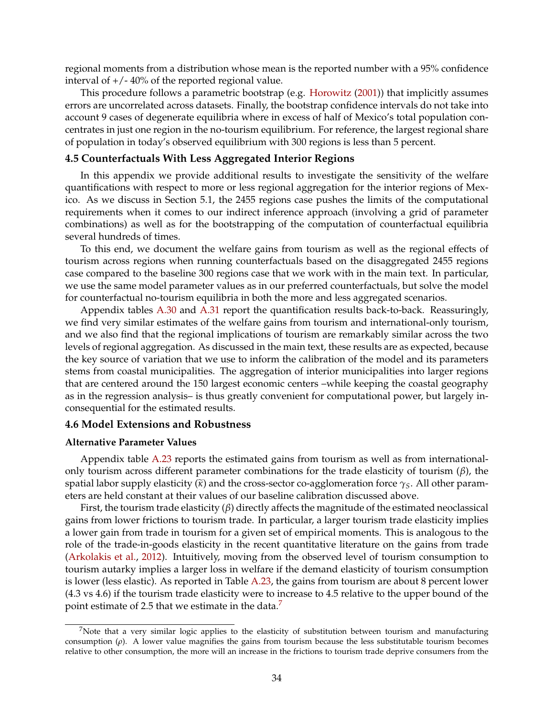regional moments from a distribution whose mean is the reported number with a 95% confidence interval of  $+/- 40\%$  of the reported regional value.

This procedure follows a parametric bootstrap (e.g. [Horowitz](#page-39-2) [\(2001\)](#page-39-2)) that implicitly assumes errors are uncorrelated across datasets. Finally, the bootstrap confidence intervals do not take into account 9 cases of degenerate equilibria where in excess of half of Mexico's total population concentrates in just one region in the no-tourism equilibrium. For reference, the largest regional share of population in today's observed equilibrium with 300 regions is less than 5 percent.

#### **4.5 Counterfactuals With Less Aggregated Interior Regions**

In this appendix we provide additional results to investigate the sensitivity of the welfare quantifications with respect to more or less regional aggregation for the interior regions of Mexico. As we discuss in Section 5.1, the 2455 regions case pushes the limits of the computational requirements when it comes to our indirect inference approach (involving a grid of parameter combinations) as well as for the bootstrapping of the computation of counterfactual equilibria several hundreds of times.

To this end, we document the welfare gains from tourism as well as the regional effects of tourism across regions when running counterfactuals based on the disaggregated 2455 regions case compared to the baseline 300 regions case that we work with in the main text. In particular, we use the same model parameter values as in our preferred counterfactuals, but solve the model for counterfactual no-tourism equilibria in both the more and less aggregated scenarios.

Appendix tables [A.30](#page-25-0) and [A.31](#page-26-0) report the quantification results back-to-back. Reassuringly, we find very similar estimates of the welfare gains from tourism and international-only tourism, and we also find that the regional implications of tourism are remarkably similar across the two levels of regional aggregation. As discussed in the main text, these results are as expected, because the key source of variation that we use to inform the calibration of the model and its parameters stems from coastal municipalities. The aggregation of interior municipalities into larger regions that are centered around the 150 largest economic centers –while keeping the coastal geography as in the regression analysis– is thus greatly convenient for computational power, but largely inconsequential for the estimated results.

#### **4.6 Model Extensions and Robustness**

#### **Alternative Parameter Values**

Appendix table [A.23](#page-22-0) reports the estimated gains from tourism as well as from internationalonly tourism across different parameter combinations for the trade elasticity of tourism (*β*), the spatial labor supply elasticity ( $\tilde{\kappa}$ ) and the cross-sector co-agglomeration force  $\gamma_S$ . All other parameters are held constant at their values of our baseline calibration discussed above.

First, the tourism trade elasticity (*β*) directly affects the magnitude of the estimated neoclassical gains from lower frictions to tourism trade. In particular, a larger tourism trade elasticity implies a lower gain from trade in tourism for a given set of empirical moments. This is analogous to the role of the trade-in-goods elasticity in the recent quantitative literature on the gains from trade [\(Arkolakis et al.,](#page-39-3) [2012\)](#page-39-3). Intuitively, moving from the observed level of tourism consumption to tourism autarky implies a larger loss in welfare if the demand elasticity of tourism consumption is lower (less elastic). As reported in Table [A.23,](#page-22-0) the gains from tourism are about 8 percent lower (4.3 vs 4.6) if the tourism trade elasticity were to increase to 4.5 relative to the upper bound of the point estimate of 2.5 that we estimate in the data.<sup>[7](#page-0-0)</sup>

 $7$ Note that a very similar logic applies to the elasticity of substitution between tourism and manufacturing consumption (*ρ*). A lower value magnifies the gains from tourism because the less substitutable tourism becomes relative to other consumption, the more will an increase in the frictions to tourism trade deprive consumers from the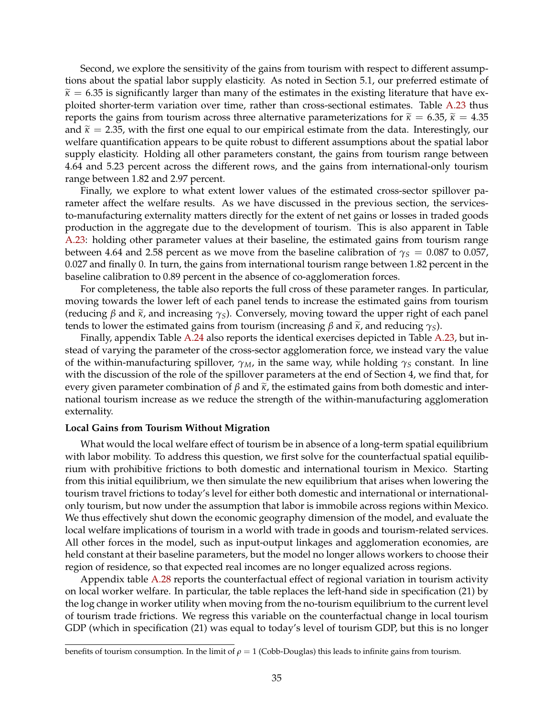Second, we explore the sensitivity of the gains from tourism with respect to different assumptions about the spatial labor supply elasticity. As noted in Section 5.1, our preferred estimate of  $\widetilde{\kappa}$  = 6.35 is significantly larger than many of the estimates in the existing literature that have exploited shorter-term variation over time, rather than cross-sectional estimates. Table [A.23](#page-22-0) thus reports the gains from tourism across three alternative parameterizations for  $\tilde{\kappa} = 6.35$ ,  $\tilde{\kappa} = 4.35$ and  $\tilde{\kappa} = 2.35$ , with the first one equal to our empirical estimate from the data. Interestingly, our welfare quantification appears to be quite robust to different assumptions about the spatial labor supply elasticity. Holding all other parameters constant, the gains from tourism range between 4.64 and 5.23 percent across the different rows, and the gains from international-only tourism range between 1.82 and 2.97 percent.

Finally, we explore to what extent lower values of the estimated cross-sector spillover parameter affect the welfare results. As we have discussed in the previous section, the servicesto-manufacturing externality matters directly for the extent of net gains or losses in traded goods production in the aggregate due to the development of tourism. This is also apparent in Table [A.23:](#page-22-0) holding other parameter values at their baseline, the estimated gains from tourism range between 4.64 and 2.58 percent as we move from the baseline calibration of  $\gamma_s = 0.087$  to 0.057, 0.027 and finally 0. In turn, the gains from international tourism range between 1.82 percent in the baseline calibration to 0.89 percent in the absence of co-agglomeration forces.

For completeness, the table also reports the full cross of these parameter ranges. In particular, moving towards the lower left of each panel tends to increase the estimated gains from tourism (reducing  $\beta$  and  $\tilde{\kappa}$ , and increasing  $\gamma$ <sub>S</sub>). Conversely, moving toward the upper right of each panel tends to lower the estimated gains from tourism (increasing  $\beta$  and  $\tilde{\kappa}$ , and reducing  $\gamma_s$ ).

Finally, appendix Table [A.24](#page-23-0) also reports the identical exercises depicted in Table [A.23,](#page-22-0) but instead of varying the parameter of the cross-sector agglomeration force, we instead vary the value of the within-manufacturing spillover, *γM*, in the same way, while holding *γ<sup>S</sup>* constant. In line with the discussion of the role of the spillover parameters at the end of Section 4, we find that, for every given parameter combination of  $\beta$  and  $\tilde{\kappa}$ , the estimated gains from both domestic and international tourism increase as we reduce the strength of the within-manufacturing agglomeration externality.

#### **Local Gains from Tourism Without Migration**

What would the local welfare effect of tourism be in absence of a long-term spatial equilibrium with labor mobility. To address this question, we first solve for the counterfactual spatial equilibrium with prohibitive frictions to both domestic and international tourism in Mexico. Starting from this initial equilibrium, we then simulate the new equilibrium that arises when lowering the tourism travel frictions to today's level for either both domestic and international or internationalonly tourism, but now under the assumption that labor is immobile across regions within Mexico. We thus effectively shut down the economic geography dimension of the model, and evaluate the local welfare implications of tourism in a world with trade in goods and tourism-related services. All other forces in the model, such as input-output linkages and agglomeration economies, are held constant at their baseline parameters, but the model no longer allows workers to choose their region of residence, so that expected real incomes are no longer equalized across regions.

Appendix table [A.28](#page-25-1) reports the counterfactual effect of regional variation in tourism activity on local worker welfare. In particular, the table replaces the left-hand side in specification (21) by the log change in worker utility when moving from the no-tourism equilibrium to the current level of tourism trade frictions. We regress this variable on the counterfactual change in local tourism GDP (which in specification (21) was equal to today's level of tourism GDP, but this is no longer

benefits of tourism consumption. In the limit of  $\rho = 1$  (Cobb-Douglas) this leads to infinite gains from tourism.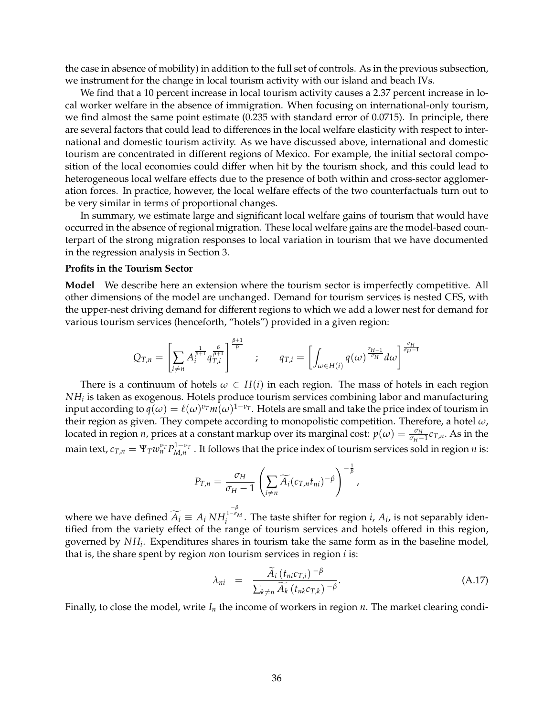the case in absence of mobility) in addition to the full set of controls. As in the previous subsection, we instrument for the change in local tourism activity with our island and beach IVs.

We find that a 10 percent increase in local tourism activity causes a 2.37 percent increase in local worker welfare in the absence of immigration. When focusing on international-only tourism, we find almost the same point estimate (0.235 with standard error of 0.0715). In principle, there are several factors that could lead to differences in the local welfare elasticity with respect to international and domestic tourism activity. As we have discussed above, international and domestic tourism are concentrated in different regions of Mexico. For example, the initial sectoral composition of the local economies could differ when hit by the tourism shock, and this could lead to heterogeneous local welfare effects due to the presence of both within and cross-sector agglomeration forces. In practice, however, the local welfare effects of the two counterfactuals turn out to be very similar in terms of proportional changes.

In summary, we estimate large and significant local welfare gains of tourism that would have occurred in the absence of regional migration. These local welfare gains are the model-based counterpart of the strong migration responses to local variation in tourism that we have documented in the regression analysis in Section 3.

#### **Profits in the Tourism Sector**

**Model** We describe here an extension where the tourism sector is imperfectly competitive. All other dimensions of the model are unchanged. Demand for tourism services is nested CES, with the upper-nest driving demand for different regions to which we add a lower nest for demand for various tourism services (henceforth, "hotels") provided in a given region:

$$
Q_{T,n}=\left[\sum_{i\neq n}A_{i}^{\frac{1}{\beta+1}}q_{T,i}^{\frac{\beta}{\beta+1}}\right]^{\frac{\beta+1}{\beta}}\quad;\qquad q_{T,i}=\left[\int_{\omega\in H(i)}q(\omega)^{\frac{\sigma_{H-1}}{\sigma_{H}}}d\omega\right]^{\frac{\sigma_{H}}{\sigma_{H}-1}}
$$

There is a continuum of hotels  $\omega \in H(i)$  in each region. The mass of hotels in each region *NH<sup>i</sup>* is taken as exogenous. Hotels produce tourism services combining labor and manufacturing input according to  $q(\omega) = \ell(\omega)^{\nu_T} m(\omega)^{1-\nu_T}$ . Hotels are small and take the price index of tourism in their region as given. They compete according to monopolistic competition. Therefore, a hotel *ω*, located in region *n*, prices at a constant markup over its marginal cost:  $p(\omega) = \frac{\sigma_H}{\sigma_H - 1} c_{T,n}$ . As in the main text,  $c_{T,n} = \Psi_T w_n^{\nu_T} P_{M,n}^{1-\nu_T}$  . It follows that the price index of tourism services sold in region *n* is:

$$
P_{T,n} = \frac{\sigma_H}{\sigma_H - 1} \left( \sum_{i \neq n} \widetilde{A}_i (c_{T,n} t_{ni})^{-\beta} \right)^{-\frac{1}{\beta}},
$$

where we have defined  $A_i \equiv A_i N H$  $\frac{-\beta}{1-\sigma_M}$  $i_i^{1-\nu}$ . The taste shifter for region *i*,  $A_i$ , is not separably identified from the variety effect of the range of tourism services and hotels offered in this region, governed by *NH<sup>i</sup>* . Expenditures shares in tourism take the same form as in the baseline model, that is, the share spent by region *n*on tourism services in region *i* is:

<span id="page-36-0"></span>
$$
\lambda_{ni} = \frac{\widetilde{A}_i \left( t_{ni} c_{T,i} \right)^{-\beta}}{\sum_{k \neq n} \widetilde{A}_k \left( t_{nk} c_{T,k} \right)^{-\beta}}.
$$
\n(A.17)

Finally, to close the model, write  $I_n$  the income of workers in region  $n$ . The market clearing condi-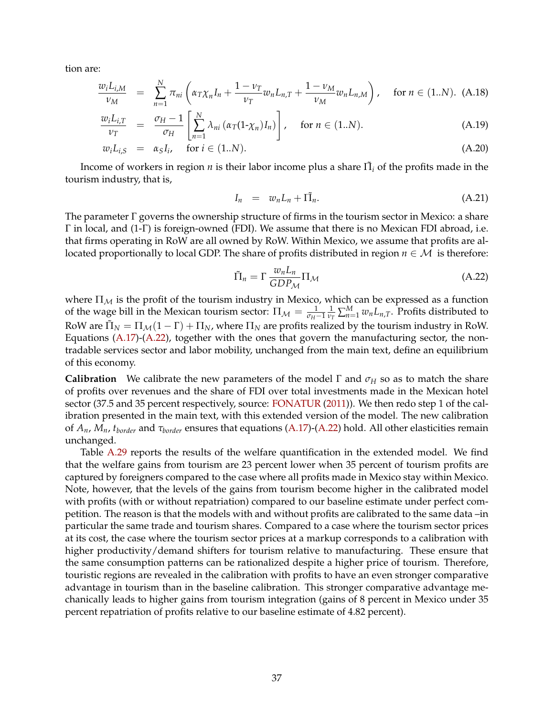tion are:

$$
\frac{w_i L_{i,M}}{\nu_M} = \sum_{n=1}^{N} \pi_{ni} \left( \alpha_T \chi_n I_n + \frac{1 - \nu_T}{\nu_T} w_n L_{n,T} + \frac{1 - \nu_M}{\nu_M} w_n L_{n,M} \right), \quad \text{for } n \in (1..N). \tag{A.18}
$$

$$
\frac{w_i L_{i,T}}{\nu_T} = \frac{\sigma_H - 1}{\sigma_H} \left[ \sum_{n=1}^N \lambda_{ni} \left( \alpha_T (1 - \chi_n) I_n \right) \right], \quad \text{for } n \in (1..N). \tag{A.19}
$$

$$
w_i L_{i,S} = \alpha_S I_i, \quad \text{for } i \in (1..N). \tag{A.20}
$$

Income of workers in region *n* is their labor income plus a share  $\tilde{\Pi}_i$  of the profits made in the tourism industry, that is,

$$
I_n = w_n L_n + \tilde{\Pi_n}.
$$
\n(A.21)

The parameter  $\Gamma$  governs the ownership structure of firms in the tourism sector in Mexico: a share Γ in local, and (1-Γ) is foreign-owned (FDI). We assume that there is no Mexican FDI abroad, i.e. that firms operating in RoW are all owned by RoW. Within Mexico, we assume that profits are allocated proportionally to local GDP. The share of profits distributed in region  $n \in \mathcal{M}$  is therefore:

<span id="page-37-0"></span>
$$
\tilde{\Pi}_n = \Gamma \frac{w_n L_n}{GDP_{\mathcal{M}}} \Pi_{\mathcal{M}}
$$
\n(A.22)

where  $\Pi_M$  is the profit of the tourism industry in Mexico, which can be expressed as a function of the wage bill in the Mexican tourism sector:  $\Pi_{\mathcal{M}} = \frac{1}{\sigma_H - 1} \frac{1}{\nu_I}$  $\frac{1}{\nu_T} \sum_{n=1}^{M} w_n L_{n,T}$ . Profits distributed to RoW are  $\tilde{\Pi}_N = \Pi_{\mathcal{M}}(1 - \Gamma) + \Pi_N$ , where  $\Pi_N$  are profits realized by the tourism industry in RoW. Equations [\(A.17\)](#page-36-0)-[\(A.22\)](#page-37-0), together with the ones that govern the manufacturing sector, the nontradable services sector and labor mobility, unchanged from the main text, define an equilibrium of this economy.

**Calibration** We calibrate the new parameters of the model Γ and  $\sigma_H$  so as to match the share of profits over revenues and the share of FDI over total investments made in the Mexican hotel sector (37.5 and 35 percent respectively, source: [FONATUR](#page-39-4) [\(2011\)](#page-39-4)). We then redo step 1 of the calibration presented in the main text, with this extended version of the model. The new calibration of *An*, *Mn*, *tborder* and *τborder* ensures that equations [\(A.17\)](#page-36-0)-[\(A.22\)](#page-37-0) hold. All other elasticities remain unchanged.

Table [A.29](#page-25-2) reports the results of the welfare quantification in the extended model. We find that the welfare gains from tourism are 23 percent lower when 35 percent of tourism profits are captured by foreigners compared to the case where all profits made in Mexico stay within Mexico. Note, however, that the levels of the gains from tourism become higher in the calibrated model with profits (with or without repatriation) compared to our baseline estimate under perfect competition. The reason is that the models with and without profits are calibrated to the same data –in particular the same trade and tourism shares. Compared to a case where the tourism sector prices at its cost, the case where the tourism sector prices at a markup corresponds to a calibration with higher productivity/demand shifters for tourism relative to manufacturing. These ensure that the same consumption patterns can be rationalized despite a higher price of tourism. Therefore, touristic regions are revealed in the calibration with profits to have an even stronger comparative advantage in tourism than in the baseline calibration. This stronger comparative advantage mechanically leads to higher gains from tourism integration (gains of 8 percent in Mexico under 35 percent repatriation of profits relative to our baseline estimate of 4.82 percent).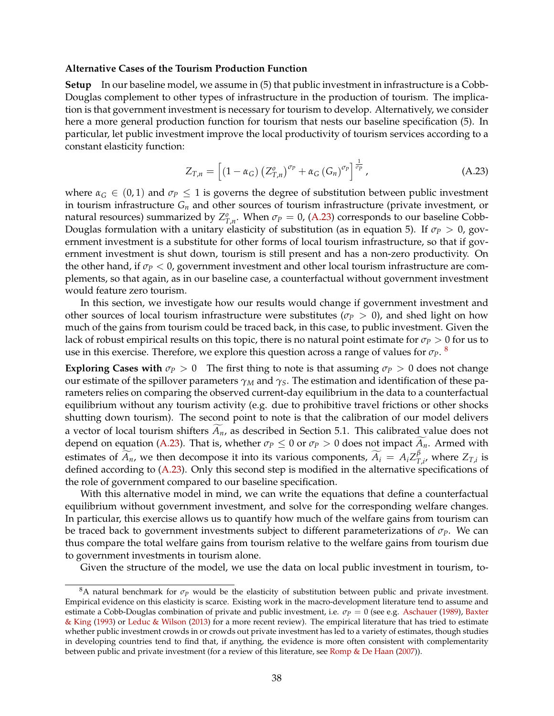#### **Alternative Cases of the Tourism Production Function**

**Setup** In our baseline model, we assume in (5) that public investment in infrastructure is a Cobb-Douglas complement to other types of infrastructure in the production of tourism. The implication is that government investment is necessary for tourism to develop. Alternatively, we consider here a more general production function for tourism that nests our baseline specification (5). In particular, let public investment improve the local productivity of tourism services according to a constant elasticity function:

<span id="page-38-0"></span>
$$
Z_{T,n} = \left[ \left( 1 - \alpha_G \right) \left( Z_{T,n}^o \right)^{\sigma_P} + \alpha_G \left( G_n \right)^{\sigma_P} \right]^{\frac{1}{\sigma_P}}, \tag{A.23}
$$

where  $\alpha_G \in (0,1)$  and  $\sigma_P \leq 1$  is governs the degree of substitution between public investment in tourism infrastructure *G<sup>n</sup>* and other sources of tourism infrastructure (private investment, or natural resources) summarized by  $Z_{T,n}^o$ . When  $\sigma_P = 0$ , [\(A.23\)](#page-38-0) corresponds to our baseline Cobb-Douglas formulation with a unitary elasticity of substitution (as in equation 5). If  $\sigma$ *P* > 0, government investment is a substitute for other forms of local tourism infrastructure, so that if government investment is shut down, tourism is still present and has a non-zero productivity. On the other hand, if *σ<sup>P</sup>* < 0, government investment and other local tourism infrastructure are complements, so that again, as in our baseline case, a counterfactual without government investment would feature zero tourism.

In this section, we investigate how our results would change if government investment and other sources of local tourism infrastructure were substitutes ( $\sigma_P > 0$ ), and shed light on how much of the gains from tourism could be traced back, in this case, to public investment. Given the lack of robust empirical results on this topic, there is no natural point estimate for *σ<sup>P</sup>* > 0 for us to use in this exercise. Therefore, we explore this question across a range of values for  $\sigma_P$ .  $^8$  $^8$ 

**Exploring Cases with**  $\sigma_p > 0$  The first thing to note is that assuming  $\sigma_p > 0$  does not change our estimate of the spillover parameters *γ<sup>M</sup>* and *γS*. The estimation and identification of these parameters relies on comparing the observed current-day equilibrium in the data to a counterfactual equilibrium without any tourism activity (e.g. due to prohibitive travel frictions or other shocks shutting down tourism). The second point to note is that the calibration of our model delivers a vector of local tourism shifters  $\widetilde{A}_n$ , as described in Section 5.1. This calibrated value does not depend on equation [\(A.23\)](#page-38-0). That is, whether  $\sigma_P \leq 0$  or  $\sigma_P > 0$  does not impact  $\widetilde{A}_n$ . Armed with estimates of  $\widetilde{A}_n$ , we then decompose it into its various components,  $\widetilde{A}_i = A_i Z_T^{\beta}$  $T_{T,i'}^P$  where  $Z_{T,i}$  is defined according to [\(A.23\)](#page-38-0). Only this second step is modified in the alternative specifications of the role of government compared to our baseline specification.

With this alternative model in mind, we can write the equations that define a counterfactual equilibrium without government investment, and solve for the corresponding welfare changes. In particular, this exercise allows us to quantify how much of the welfare gains from tourism can be traced back to government investments subject to different parameterizations of  $\sigma_p$ . We can thus compare the total welfare gains from tourism relative to the welfare gains from tourism due to government investments in tourism alone.

Given the structure of the model, we use the data on local public investment in tourism, to-

 $8A$  natural benchmark for  $\sigma_p$  would be the elasticity of substitution between public and private investment. Empirical evidence on this elasticity is scarce. Existing work in the macro-development literature tend to assume and estimate a Cobb-Douglas combination of private and public investment, i.e. *σ<sup>P</sup>* = 0 (see e.g. [Aschauer](#page-39-5) [\(1989\)](#page-39-5), [Baxter](#page-39-6) [& King](#page-39-6) [\(1993\)](#page-39-6) or [Leduc & Wilson](#page-40-0) [\(2013\)](#page-40-0) for a more recent review). The empirical literature that has tried to estimate whether public investment crowds in or crowds out private investment has led to a variety of estimates, though studies in developing countries tend to find that, if anything, the evidence is more often consistent with complementarity between public and private investment (for a review of this literature, see [Romp & De Haan](#page-40-1) [\(2007\)](#page-40-1)).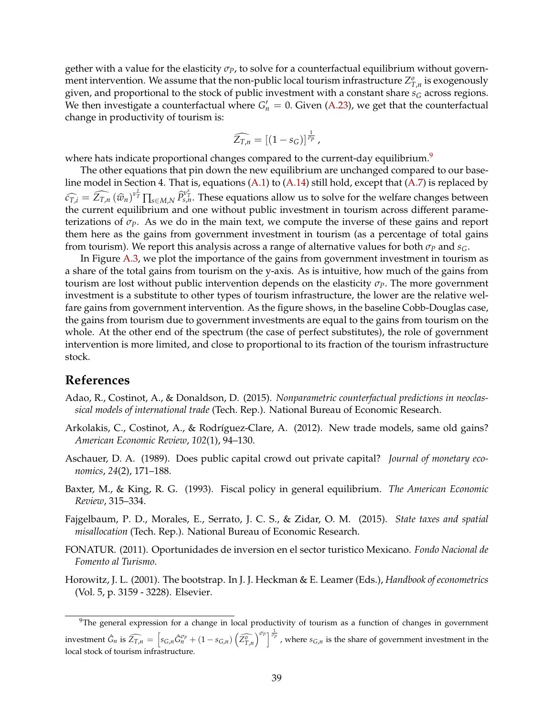gether with a value for the elasticity *σP*, to solve for a counterfactual equilibrium without government intervention. We assume that the non-public local tourism infrastructure  $Z_{T,n}^o$  is exogenously given, and proportional to the stock of public investment with a constant share  $s_G$  across regions. We then investigate a counterfactual where  $G'_n = 0$ . Given [\(A.23\)](#page-38-0), we get that the counterfactual change in productivity of tourism is:

$$
\widehat{Z_{T,n}}=[(1-s_G)]^{\frac{1}{\sigma_p}},
$$

where hats indicate proportional changes compared to the current-day equilibrium.<sup>[9](#page-0-0)</sup>

The other equations that pin down the new equilibrium are unchanged compared to our baseline model in Section 4. That is, equations [\(A.1\)](#page-29-0) to [\(A.14\)](#page-30-0) still hold, except that [\(A.7\)](#page-29-1) is replaced by  $\widehat{c_{T,i}} = \widehat{Z_{T,n}}(\widehat{w}_n)^{v_T^L} \prod_{s \in M,N} \widehat{P}_{s,n}^{v_T^s}$ . These equations allow us to solve for the welfare changes between the current equilibrium and one without public investment in tourism across different parameterizations of  $\sigma_P$ . As we do in the main text, we compute the inverse of these gains and report them here as the gains from government investment in tourism (as a percentage of total gains from tourism). We report this analysis across a range of alternative values for both  $\sigma_P$  and  $s_G$ .

In Figure [A.3,](#page-3-0) we plot the importance of the gains from government investment in tourism as a share of the total gains from tourism on the y-axis. As is intuitive, how much of the gains from tourism are lost without public intervention depends on the elasticity *σP*. The more government investment is a substitute to other types of tourism infrastructure, the lower are the relative welfare gains from government intervention. As the figure shows, in the baseline Cobb-Douglas case, the gains from tourism due to government investments are equal to the gains from tourism on the whole. At the other end of the spectrum (the case of perfect substitutes), the role of government intervention is more limited, and close to proportional to its fraction of the tourism infrastructure stock.

### **References**

- <span id="page-39-1"></span>Adao, R., Costinot, A., & Donaldson, D. (2015). *Nonparametric counterfactual predictions in neoclassical models of international trade* (Tech. Rep.). National Bureau of Economic Research.
- <span id="page-39-3"></span>Arkolakis, C., Costinot, A., & Rodríguez-Clare, A. (2012). New trade models, same old gains? *American Economic Review*, *102*(1), 94–130.
- <span id="page-39-5"></span>Aschauer, D. A. (1989). Does public capital crowd out private capital? *Journal of monetary economics*, *24*(2), 171–188.
- <span id="page-39-6"></span>Baxter, M., & King, R. G. (1993). Fiscal policy in general equilibrium. *The American Economic Review*, 315–334.
- <span id="page-39-0"></span>Fajgelbaum, P. D., Morales, E., Serrato, J. C. S., & Zidar, O. M. (2015). *State taxes and spatial misallocation* (Tech. Rep.). National Bureau of Economic Research.
- <span id="page-39-4"></span>FONATUR. (2011). Oportunidades de inversion en el sector turistico Mexicano. *Fondo Nacional de Fomento al Turismo*.
- <span id="page-39-2"></span>Horowitz, J. L. (2001). The bootstrap. In J. J. Heckman & E. Leamer (Eds.), *Handbook of econometrics* (Vol. 5, p. 3159 - 3228). Elsevier.

<sup>&</sup>lt;sup>9</sup>The general expression for a change in local productivity of tourism as a function of changes in government investment  $\hat{G}_n$  is  $\widehat{Z_{T,n}} = \left[s_{G,n}\hat{G}_n^{\sigma_P} + (1-s_{G,n})\left(\widehat{Z_{T,n}^o}\right)^{\sigma_P}\right]^{\frac{1}{\sigma_P}}$ , where  $s_{G,n}$  is the share of government investment in the local stock of tourism infrastructure.